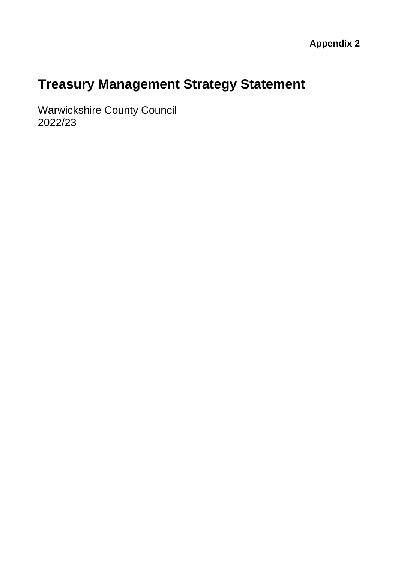# **Treasury Management Strategy Statement**

Warwickshire County Council 2022/23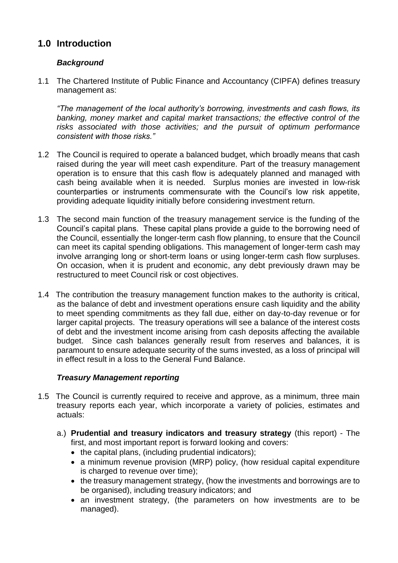# **1.0 Introduction**

# *Background*

1.1 The Chartered Institute of Public Finance and Accountancy (CIPFA) defines treasury management as:

*"The management of the local authority's borrowing, investments and cash flows, its banking, money market and capital market transactions; the effective control of the risks associated with those activities; and the pursuit of optimum performance consistent with those risks."*

- 1.2 The Council is required to operate a balanced budget, which broadly means that cash raised during the year will meet cash expenditure. Part of the treasury management operation is to ensure that this cash flow is adequately planned and managed with cash being available when it is needed. Surplus monies are invested in low-risk counterparties or instruments commensurate with the Council's low risk appetite, providing adequate liquidity initially before considering investment return.
- 1.3 The second main function of the treasury management service is the funding of the Council's capital plans. These capital plans provide a guide to the borrowing need of the Council, essentially the longer-term cash flow planning, to ensure that the Council can meet its capital spending obligations. This management of longer-term cash may involve arranging long or short-term loans or using longer-term cash flow surpluses. On occasion, when it is prudent and economic, any debt previously drawn may be restructured to meet Council risk or cost objectives.
- 1.4 The contribution the treasury management function makes to the authority is critical, as the balance of debt and investment operations ensure cash liquidity and the ability to meet spending commitments as they fall due, either on day-to-day revenue or for larger capital projects. The treasury operations will see a balance of the interest costs of debt and the investment income arising from cash deposits affecting the available budget. Since cash balances generally result from reserves and balances, it is paramount to ensure adequate security of the sums invested, as a loss of principal will in effect result in a loss to the General Fund Balance.

# *Treasury Management reporting*

- 1.5 The Council is currently required to receive and approve, as a minimum, three main treasury reports each year, which incorporate a variety of policies, estimates and actuals:
	- a.) **Prudential and treasury indicators and treasury strategy** (this report) The first, and most important report is forward looking and covers:
		- $\bullet$  the capital plans, (including prudential indicators);
		- a minimum revenue provision (MRP) policy, (how residual capital expenditure is charged to revenue over time);
		- the treasury management strategy, (how the investments and borrowings are to be organised), including treasury indicators; and
		- an investment strategy, (the parameters on how investments are to be managed).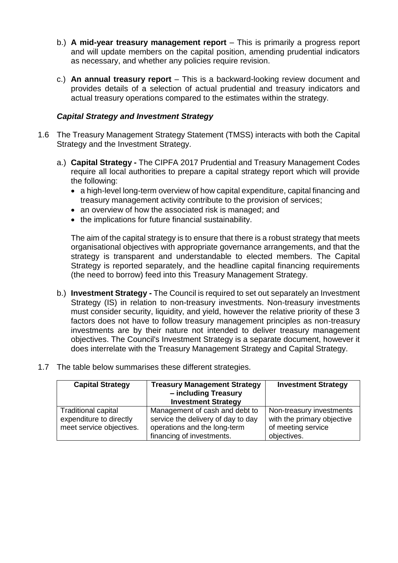- b.) **A mid-year treasury management report** This is primarily a progress report and will update members on the capital position, amending prudential indicators as necessary, and whether any policies require revision.
- c.) **An annual treasury report** This is a backward-looking review document and provides details of a selection of actual prudential and treasury indicators and actual treasury operations compared to the estimates within the strategy.

#### *Capital Strategy and Investment Strategy*

- 1.6 The Treasury Management Strategy Statement (TMSS) interacts with both the Capital Strategy and the Investment Strategy.
	- a.) **Capital Strategy -** The CIPFA 2017 Prudential and Treasury Management Codes require all local authorities to prepare a capital strategy report which will provide the following:
		- a high-level long-term overview of how capital expenditure, capital financing and treasury management activity contribute to the provision of services;
		- an overview of how the associated risk is managed; and
		- the implications for future financial sustainability.

The aim of the capital strategy is to ensure that there is a robust strategy that meets organisational objectives with appropriate governance arrangements, and that the strategy is transparent and understandable to elected members. The Capital Strategy is reported separately, and the headline capital financing requirements (the need to borrow) feed into this Treasury Management Strategy.

- b.) **Investment Strategy -** The Council is required to set out separately an Investment Strategy (IS) in relation to non-treasury investments. Non-treasury investments must consider security, liquidity, and yield, however the relative priority of these 3 factors does not have to follow treasury management principles as non-treasury investments are by their nature not intended to deliver treasury management objectives. The Council's Investment Strategy is a separate document, however it does interrelate with the Treasury Management Strategy and Capital Strategy.
- 1.7 The table below summarises these different strategies.

| <b>Capital Strategy</b>                             | <b>Treasury Management Strategy</b><br>- including Treasury<br><b>Investment Strategy</b> | <b>Investment Strategy</b>                       |
|-----------------------------------------------------|-------------------------------------------------------------------------------------------|--------------------------------------------------|
| <b>Traditional capital</b>                          | Management of cash and debt to                                                            | Non-treasury investments                         |
| expenditure to directly<br>meet service objectives. | service the delivery of day to day<br>operations and the long-term                        | with the primary objective<br>of meeting service |
|                                                     | financing of investments.                                                                 | objectives.                                      |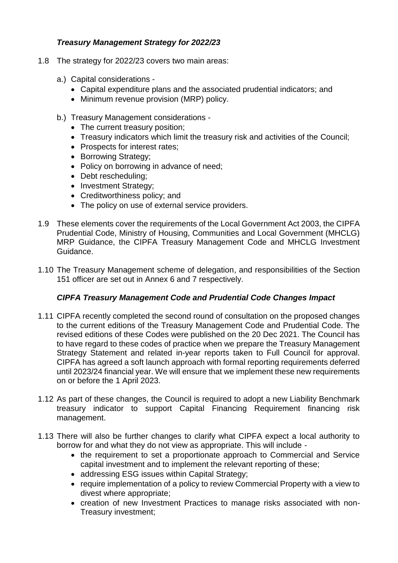# *Treasury Management Strategy for 2022/23*

- 1.8 The strategy for 2022/23 covers two main areas:
	- a.) Capital considerations
		- Capital expenditure plans and the associated prudential indicators; and
		- Minimum revenue provision (MRP) policy.
	- b.) Treasury Management considerations
		- The current treasury position;
		- Treasury indicators which limit the treasury risk and activities of the Council;
		- Prospects for interest rates;
		- Borrowing Strategy;
		- Policy on borrowing in advance of need:
		- Debt rescheduling;
		- Investment Strategy;
		- Creditworthiness policy; and
		- The policy on use of external service providers.
- 1.9 These elements cover the requirements of the Local Government Act 2003, the CIPFA Prudential Code, Ministry of Housing, Communities and Local Government (MHCLG) MRP Guidance, the CIPFA Treasury Management Code and MHCLG Investment Guidance.
- 1.10 The Treasury Management scheme of delegation, and responsibilities of the Section 151 officer are set out in Annex 6 and 7 respectively.

# *CIPFA Treasury Management Code and Prudential Code Changes Impact*

- 1.11 CIPFA recently completed the second round of consultation on the proposed changes to the current editions of the Treasury Management Code and Prudential Code. The revised editions of these Codes were published on the 20 Dec 2021. The Council has to have regard to these codes of practice when we prepare the Treasury Management Strategy Statement and related in-year reports taken to Full Council for approval. CIPFA has agreed a soft launch approach with formal reporting requirements deferred until 2023/24 financial year. We will ensure that we implement these new requirements on or before the 1 April 2023.
- 1.12 As part of these changes, the Council is required to adopt a new Liability Benchmark treasury indicator to support Capital Financing Requirement financing risk management.
- 1.13 There will also be further changes to clarify what CIPFA expect a local authority to borrow for and what they do not view as appropriate. This will include -
	- the requirement to set a proportionate approach to Commercial and Service capital investment and to implement the relevant reporting of these;
	- addressing ESG issues within Capital Strategy;
	- require implementation of a policy to review Commercial Property with a view to divest where appropriate;
	- creation of new Investment Practices to manage risks associated with non-Treasury investment;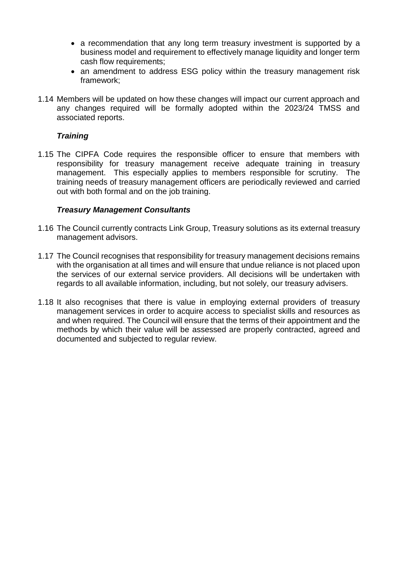- a recommendation that any long term treasury investment is supported by a business model and requirement to effectively manage liquidity and longer term cash flow requirements;
- an amendment to address ESG policy within the treasury management risk framework;
- 1.14 Members will be updated on how these changes will impact our current approach and any changes required will be formally adopted within the 2023/24 TMSS and associated reports.

#### *Training*

1.15 The CIPFA Code requires the responsible officer to ensure that members with responsibility for treasury management receive adequate training in treasury management. This especially applies to members responsible for scrutiny. The training needs of treasury management officers are periodically reviewed and carried out with both formal and on the job training.

#### *Treasury Management Consultants*

- 1.16 The Council currently contracts Link Group, Treasury solutions as its external treasury management advisors.
- 1.17 The Council recognises that responsibility for treasury management decisions remains with the organisation at all times and will ensure that undue reliance is not placed upon the services of our external service providers. All decisions will be undertaken with regards to all available information, including, but not solely, our treasury advisers.
- 1.18 It also recognises that there is value in employing external providers of treasury management services in order to acquire access to specialist skills and resources as and when required. The Council will ensure that the terms of their appointment and the methods by which their value will be assessed are properly contracted, agreed and documented and subjected to regular review.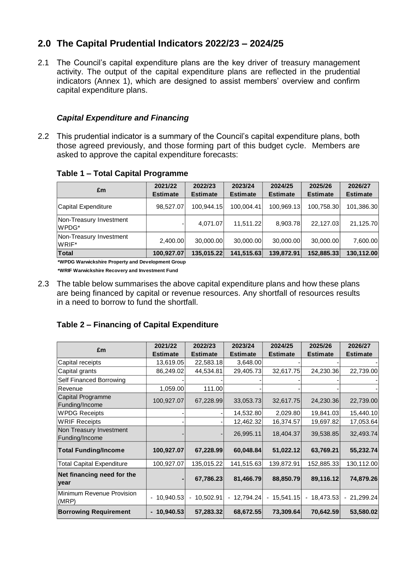# **2.0 The Capital Prudential Indicators 2022/23 – 2024/25**

2.1 The Council's capital expenditure plans are the key driver of treasury management activity. The output of the capital expenditure plans are reflected in the prudential indicators (Annex 1), which are designed to assist members' overview and confirm capital expenditure plans.

#### *Capital Expenditure and Financing*

2.2 This prudential indicator is a summary of the Council's capital expenditure plans, both those agreed previously, and those forming part of this budget cycle. Members are asked to approve the capital expenditure forecasts:

|  |  |  | Table 1 - Total Capital Programme |
|--|--|--|-----------------------------------|
|--|--|--|-----------------------------------|

| £m                               | 2021/22<br><b>Estimate</b> | 2022/23<br><b>Estimate</b> | 2023/24<br><b>Estimate</b> | 2024/25<br><b>Estimate</b> | 2025/26<br><b>Estimate</b> | 2026/27<br><b>Estimate</b> |
|----------------------------------|----------------------------|----------------------------|----------------------------|----------------------------|----------------------------|----------------------------|
| Capital Expenditure              | 98,527.07                  | 100.944.15                 | 100.004.41                 | 100,969.13                 | 100,758.30                 | 101,386.30                 |
| Non-Treasury Investment<br>WPDG* |                            | 4.071.07                   | 11.511.22                  | 8,903.78                   | 22.127.03                  | 21,125.70                  |
| Non-Treasury Investment<br>WRIF* | 2,400.00                   | 30,000.00                  | 30,000.00                  | 30,000.00                  | 30,000.00                  | 7,600.00                   |
| <b>Total</b>                     | 100,927.07                 | 135,015.22                 | 141,515.63                 | 139,872.91                 | 152,885.33                 | 130,112.00                 |

**\*WPDG Warwickshire Property and Development Group**

**\*WRIF Warwickshire Recovery and Investment Fund** 

2.3 The table below summarises the above capital expenditure plans and how these plans are being financed by capital or revenue resources. Any shortfall of resources results in a need to borrow to fund the shortfall.

# **Table 2 – Financing of Capital Expenditure**

|                                            | 2021/22         | 2022/23         | 2023/24                            | 2024/25      | 2025/26         | 2026/27         |
|--------------------------------------------|-----------------|-----------------|------------------------------------|--------------|-----------------|-----------------|
| £m                                         | <b>Estimate</b> | <b>Estimate</b> | <b>Estimate</b><br><b>Estimate</b> |              | <b>Estimate</b> | <b>Estimate</b> |
| Capital receipts                           | 13,619.05       | 22,583.18       | 3,648.00                           |              |                 |                 |
| Capital grants                             | 86,249.02       | 44,534.81       | 29,405.73                          | 32,617.75    | 24,230.36       | 22,739.00       |
| Self Financed Borrowing                    |                 |                 |                                    |              |                 |                 |
| Revenue                                    | 1,059.00        | 111.00          |                                    |              |                 |                 |
| <b>Capital Programme</b><br>Funding/Income | 100,927.07      | 67,228.99       | 33,053.73                          | 32,617.75    | 24,230.36       | 22,739.00       |
| <b>WPDG Receipts</b>                       |                 |                 | 14,532.80                          | 2,029.80     | 19,841.03       | 15,440.10       |
| <b>WRIF Receipts</b>                       |                 |                 | 12,462.32                          | 16,374.57    | 19,697.82       | 17,053.64       |
| Non Treasury Investment<br>Funding/Income  |                 |                 | 26,995.11                          | 18,404.37    | 39,538.85       | 32,493.74       |
| <b>Total Funding/Income</b>                | 100,927.07      | 67,228.99       | 60,048.84                          | 51,022.12    | 63,769.21       | 55,232.74       |
| <b>Total Capital Expenditure</b>           | 100,927.07      | 135,015.22      | 141,515.63                         | 139,872.91   | 152,885.33      | 130,112.00      |
| Net financing need for the<br>year         |                 | 67,786.23       | 81,466.79                          | 88,850.79    | 89,116.12       | 74,879.26       |
| Minimum Revenue Provision<br>(MRP)         | - 10,940.53     | $-10,502.91$    | $-12,794.24$                       | $-15,541.15$ | - 18,473.53     | $-21,299.24$    |
| <b>Borrowing Requirement</b>               | $-10,940.53$    | 57,283.32       | 68,672.55                          | 73,309.64    | 70,642.59       | 53,580.02       |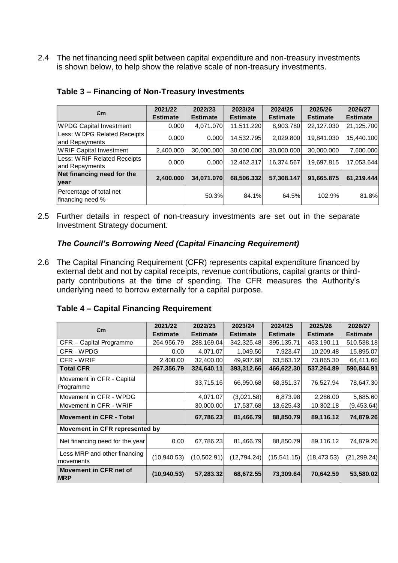2.4 The net financing need split between capital expenditure and non-treasury investments is shown below, to help show the relative scale of non-treasury investments.

| £m                                            | 2021/22<br><b>Estimate</b> | 2022/23<br><b>Estimate</b> | 2023/24<br><b>Estimate</b> | 2024/25<br><b>Estimate</b> | 2025/26<br><b>Estimate</b> | 2026/27<br><b>Estimate</b> |
|-----------------------------------------------|----------------------------|----------------------------|----------------------------|----------------------------|----------------------------|----------------------------|
| <b>WPDG Capital Investment</b>                | 0.000                      | 4.071.070                  | 11,511.220                 | 8,903.780                  | 22,127.030                 | 21,125.700                 |
| Less: WDPG Related Receipts<br>and Repayments | 0.000                      | 0.000                      | 14,532.795                 | 2,029.800                  | 19,841.030                 | 15,440.100                 |
| <b>WRIF Capital Investment</b>                | 2,400.000                  | 30,000.000                 | 30,000.000                 | 30,000.000                 | 30,000.000                 | 7,600.000                  |
| Less: WRIF Related Receipts<br>and Repayments | 0.000                      | 0.000                      | 12,462.317                 | 16,374.567                 | 19,697.815                 | 17,053.644                 |
| Net financing need for the                    | 2,400.000                  | 34,071.070                 | 68,506.332                 | 57,308.147                 | 91,665.875                 | 61,219.444                 |
| year                                          |                            |                            |                            |                            |                            |                            |
| Percentage of total net<br>financing need %   |                            | 50.3%                      | 84.1%                      | 64.5%                      | 102.9%                     | 81.8%                      |

#### **Table 3 – Financing of Non-Treasury Investments**

2.5 Further details in respect of non-treasury investments are set out in the separate Investment Strategy document.

#### *The Council's Borrowing Need (Capital Financing Requirement)*

2.6 The Capital Financing Requirement (CFR) represents capital expenditure financed by external debt and not by capital receipts, revenue contributions, capital grants or thirdparty contributions at the time of spending. The CFR measures the Authority's underlying need to borrow externally for a capital purpose.

|  |  | Table 4 - Capital Financing Requirement |  |  |
|--|--|-----------------------------------------|--|--|
|--|--|-----------------------------------------|--|--|

| £m                                        | 2021/22<br><b>Estimate</b> | 2022/23<br><b>Estimate</b> | 2023/24<br><b>Estimate</b> | 2024/25<br><b>Estimate</b> | 2025/26<br><b>Estimate</b> | 2026/27<br><b>Estimate</b> |
|-------------------------------------------|----------------------------|----------------------------|----------------------------|----------------------------|----------------------------|----------------------------|
| CFR - Capital Programme                   | 264,956.79                 | 288,169.04                 | 342,325.48                 | 395, 135. 71               | 453,190.11                 | 510,538.18                 |
| CFR - WPDG                                | 0.001                      | 4,071.07                   | 1,049.50                   | 7,923.47                   | 10,209.48                  | 15,895.07                  |
| CFR - WRIF                                | 2,400.00                   | 32,400.00                  | 49,937.68                  | 63,563.12                  | 73,865.30                  | 64,411.66                  |
| <b>Total CFR</b>                          | 267,356.79                 | 324,640.11                 | 393,312.66                 | 466,622.30                 | 537,264.89                 | 590,844.91                 |
| Movement in CFR - Capital<br>Programme    |                            | 33,715.16                  | 66,950.68                  | 68,351.37                  | 76,527.94                  | 78,647.30                  |
| Movement in CFR - WPDG                    |                            | 4,071.07                   | (3,021.58)                 | 6,873.98                   | 2,286.00                   | 5,685.60                   |
| Movement in CFR - WRIF                    |                            | 30,000.00                  | 17,537.68                  | 13,625.43                  | 10,302.18                  | (9,453.64)                 |
| <b>Movement in CFR - Total</b>            |                            | 67,786.23                  | 81,466.79                  | 88,850.79                  | 89,116.12                  | 74,879.26                  |
| Movement in CFR represented by            |                            |                            |                            |                            |                            |                            |
| Net financing need for the year           | 0.00                       | 67,786.23                  | 81,466.79                  | 88,850.79                  | 89,116.12                  | 74,879.26                  |
| Less MRP and other financing<br>movements | (10, 940.53)               | (10,502.91)                | (12,794.24)                | (15, 541.15)               | (18, 473.53)               | (21, 299.24)               |
| Movement in CFR net of<br><b>MRP</b>      | (10, 940.53)               | 57,283.32                  | 68,672.55                  | 73,309.64                  | 70,642.59                  | 53,580.02                  |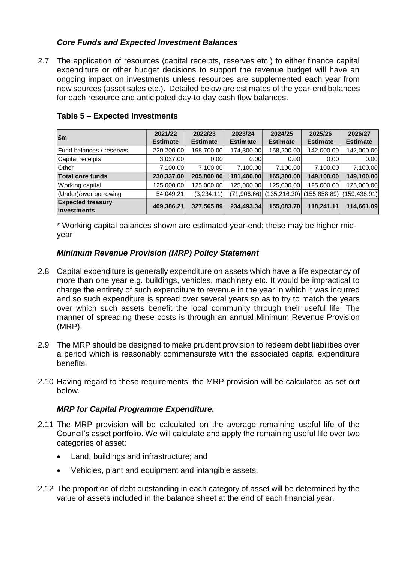# *Core Funds and Expected Investment Balances*

2.7 The application of resources (capital receipts, reserves etc.) to either finance capital expenditure or other budget decisions to support the revenue budget will have an ongoing impact on investments unless resources are supplemented each year from new sources (asset sales etc.). Detailed below are estimates of the year-end balances for each resource and anticipated day-to-day cash flow balances.

| £m                                      | 2021/22<br><b>Estimate</b> | 2022/23<br><b>Estimate</b> | 2023/24<br><b>Estimate</b> | 2024/25<br><b>Estimate</b> | 2025/26<br><b>Estimate</b> | 2026/27<br><b>Estimate</b> |
|-----------------------------------------|----------------------------|----------------------------|----------------------------|----------------------------|----------------------------|----------------------------|
| Fund balances / reserves                | 220,200.00                 | 198,700.00                 | 174,300.00                 | 158,200.00                 | 142,000.00                 | 142,000.00                 |
| Capital receipts                        | 3,037.00                   | 0.00                       | 0.001                      | 0.00                       | 0.00                       | 0.00                       |
| Other                                   | 7,100.00                   | 7,100.00                   | 7,100.00                   | 7,100.00                   | 7,100.00                   | 7,100.00                   |
| <b>Total core funds</b>                 | 230,337.00                 | 205,800.00                 | 181,400.00                 | 165,300.00                 | 149,100.00                 | 149,100.00                 |
| Working capital                         | 125,000.00                 | 125,000.00                 | 125,000.00                 | 125,000.00                 | 125,000.00                 | 125,000.00                 |
| (Under)/over borrowing                  | 54,049.21                  | (3,234.11)                 | (71,906.66)                | (135, 216.30)              | (155, 858.89)              | (159, 438.91)              |
| <b>Expected treasury</b><br>investments | 409,386.21                 | 327,565.89                 | 234,493.34                 | 155,083.70                 | 118.241.11                 | 114,661.09                 |

## **Table 5 – Expected Investments**

\* Working capital balances shown are estimated year-end; these may be higher midyear

# *Minimum Revenue Provision (MRP) Policy Statement*

- 2.8 Capital expenditure is generally expenditure on assets which have a life expectancy of more than one year e.g. buildings, vehicles, machinery etc. It would be impractical to charge the entirety of such expenditure to revenue in the year in which it was incurred and so such expenditure is spread over several years so as to try to match the years over which such assets benefit the local community through their useful life. The manner of spreading these costs is through an annual Minimum Revenue Provision (MRP).
- 2.9 The MRP should be designed to make prudent provision to redeem debt liabilities over a period which is reasonably commensurate with the associated capital expenditure benefits.
- 2.10 Having regard to these requirements, the MRP provision will be calculated as set out below.

#### *MRP for Capital Programme Expenditure.*

- 2.11 The MRP provision will be calculated on the average remaining useful life of the Council's asset portfolio. We will calculate and apply the remaining useful life over two categories of asset:
	- Land, buildings and infrastructure; and
	- Vehicles, plant and equipment and intangible assets.
- 2.12 The proportion of debt outstanding in each category of asset will be determined by the value of assets included in the balance sheet at the end of each financial year.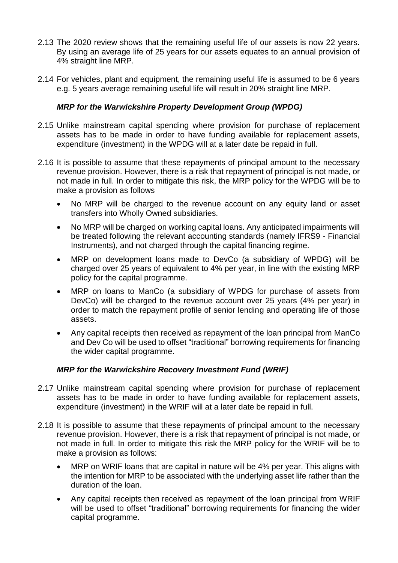- 2.13 The 2020 review shows that the remaining useful life of our assets is now 22 years. By using an average life of 25 years for our assets equates to an annual provision of 4% straight line MRP.
- 2.14 For vehicles, plant and equipment, the remaining useful life is assumed to be 6 years e.g. 5 years average remaining useful life will result in 20% straight line MRP.

## *MRP for the Warwickshire Property Development Group (WPDG)*

- 2.15 Unlike mainstream capital spending where provision for purchase of replacement assets has to be made in order to have funding available for replacement assets, expenditure (investment) in the WPDG will at a later date be repaid in full.
- 2.16 It is possible to assume that these repayments of principal amount to the necessary revenue provision. However, there is a risk that repayment of principal is not made, or not made in full. In order to mitigate this risk, the MRP policy for the WPDG will be to make a provision as follows
	- No MRP will be charged to the revenue account on any equity land or asset transfers into Wholly Owned subsidiaries.
	- No MRP will be charged on working capital loans. Any anticipated impairments will be treated following the relevant accounting standards (namely IFRS9 - Financial Instruments), and not charged through the capital financing regime.
	- MRP on development loans made to DevCo (a subsidiary of WPDG) will be charged over 25 years of equivalent to 4% per year, in line with the existing MRP policy for the capital programme.
	- MRP on loans to ManCo (a subsidiary of WPDG for purchase of assets from DevCo) will be charged to the revenue account over 25 years (4% per year) in order to match the repayment profile of senior lending and operating life of those assets.
	- Any capital receipts then received as repayment of the loan principal from ManCo and Dev Co will be used to offset "traditional" borrowing requirements for financing the wider capital programme.

# *MRP for the Warwickshire Recovery Investment Fund (WRIF)*

- 2.17 Unlike mainstream capital spending where provision for purchase of replacement assets has to be made in order to have funding available for replacement assets, expenditure (investment) in the WRIF will at a later date be repaid in full.
- 2.18 It is possible to assume that these repayments of principal amount to the necessary revenue provision. However, there is a risk that repayment of principal is not made, or not made in full. In order to mitigate this risk the MRP policy for the WRIF will be to make a provision as follows:
	- MRP on WRIF loans that are capital in nature will be 4% per year. This aligns with the intention for MRP to be associated with the underlying asset life rather than the duration of the loan.
	- Any capital receipts then received as repayment of the loan principal from WRIF will be used to offset "traditional" borrowing requirements for financing the wider capital programme.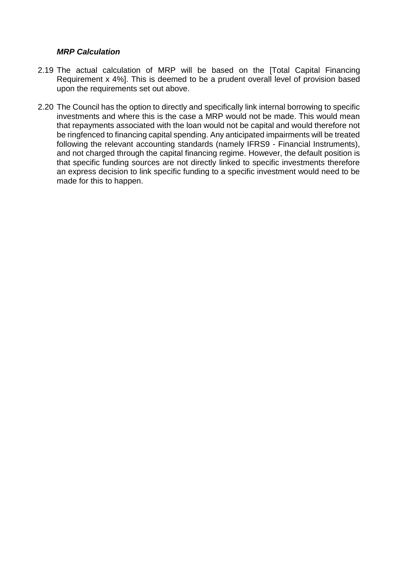#### *MRP Calculation*

- 2.19 The actual calculation of MRP will be based on the [Total Capital Financing Requirement x 4%]. This is deemed to be a prudent overall level of provision based upon the requirements set out above.
- 2.20 The Council has the option to directly and specifically link internal borrowing to specific investments and where this is the case a MRP would not be made. This would mean that repayments associated with the loan would not be capital and would therefore not be ringfenced to financing capital spending. Any anticipated impairments will be treated following the relevant accounting standards (namely IFRS9 - Financial Instruments), and not charged through the capital financing regime. However, the default position is that specific funding sources are not directly linked to specific investments therefore an express decision to link specific funding to a specific investment would need to be made for this to happen.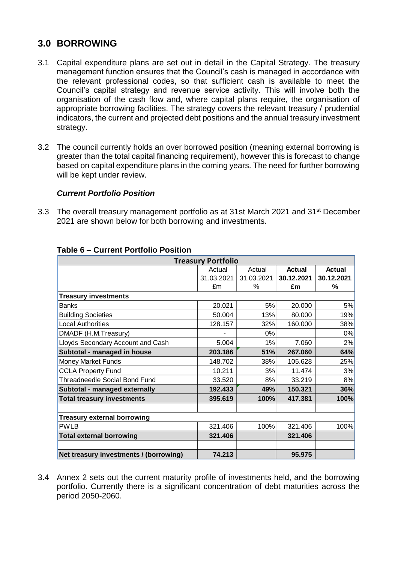# **3.0 BORROWING**

- 3.1 Capital expenditure plans are set out in detail in the Capital Strategy. The treasury management function ensures that the Council's cash is managed in accordance with the relevant professional codes, so that sufficient cash is available to meet the Council's capital strategy and revenue service activity. This will involve both the organisation of the cash flow and, where capital plans require, the organisation of appropriate borrowing facilities. The strategy covers the relevant treasury / prudential indicators, the current and projected debt positions and the annual treasury investment strategy.
- 3.2 The council currently holds an over borrowed position (meaning external borrowing is greater than the total capital financing requirement), however this is forecast to change based on capital expenditure plans in the coming years. The need for further borrowing will be kept under review.

#### *Current Portfolio Position*

3.3 The overall treasury management portfolio as at 31st March 2021 and 31<sup>st</sup> December 2021 are shown below for both borrowing and investments.

| <b>Treasury Portfolio</b>              |                                                    |            |            |            |  |  |  |  |  |
|----------------------------------------|----------------------------------------------------|------------|------------|------------|--|--|--|--|--|
|                                        | <b>Actual</b><br><b>Actual</b><br>Actual<br>Actual |            |            |            |  |  |  |  |  |
|                                        | 31.03.2021                                         | 31.03.2021 | 30.12.2021 | 30.12.2021 |  |  |  |  |  |
|                                        |                                                    |            |            |            |  |  |  |  |  |
|                                        | £m                                                 | $\%$       | £m         | %          |  |  |  |  |  |
| <b>Treasury investments</b>            |                                                    |            |            |            |  |  |  |  |  |
| <b>Banks</b>                           | 20.021                                             | 5%         | 20.000     | 5%         |  |  |  |  |  |
| <b>Building Societies</b>              | 50.004                                             | 13%        | 80.000     | 19%        |  |  |  |  |  |
| <b>Local Authorities</b>               | 128.157                                            | 32%        | 160.000    | 38%        |  |  |  |  |  |
| DMADF (H.M.Treasury)                   |                                                    | 0%         |            | 0%         |  |  |  |  |  |
| Lloyds Secondary Account and Cash      | 5.004                                              | 1%         | 7.060      | 2%         |  |  |  |  |  |
| Subtotal - managed in house            | 203.186                                            | 51%        | 267.060    | 64%        |  |  |  |  |  |
| Money Market Funds                     | 148.702                                            | 38%        | 105.628    | 25%        |  |  |  |  |  |
| <b>CCLA Property Fund</b>              | 10.211                                             | 3%         | 11.474     | 3%         |  |  |  |  |  |
| <b>Threadneedle Social Bond Fund</b>   | 33.520                                             | 8%         | 33.219     | 8%         |  |  |  |  |  |
| Subtotal - managed externally          | 192.433                                            | 49%        | 150.321    | 36%        |  |  |  |  |  |
| <b>Total treasury investments</b>      | 395.619                                            | 100%       | 417.381    | 100%       |  |  |  |  |  |
|                                        |                                                    |            |            |            |  |  |  |  |  |
| <b>Treasury external borrowing</b>     |                                                    |            |            |            |  |  |  |  |  |
| <b>PWLB</b>                            | 321.406                                            | 100%       | 321.406    | 100%       |  |  |  |  |  |
| <b>Total external borrowing</b>        | 321.406                                            |            | 321.406    |            |  |  |  |  |  |
|                                        |                                                    |            |            |            |  |  |  |  |  |
| Net treasury investments / (borrowing) | 74.213                                             |            | 95.975     |            |  |  |  |  |  |

#### **Table 6 – Current Portfolio Position**

3.4 Annex 2 sets out the current maturity profile of investments held, and the borrowing portfolio. Currently there is a significant concentration of debt maturities across the period 2050-2060.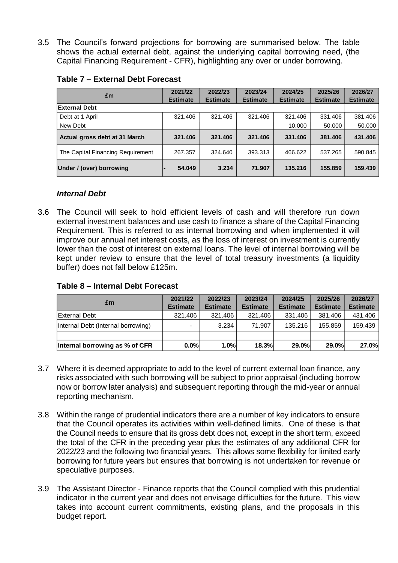3.5 The Council's forward projections for borrowing are summarised below. The table shows the actual external debt, against the underlying capital borrowing need, (the Capital Financing Requirement - CFR), highlighting any over or under borrowing.

| £m                                                                                                                                                                                                                                                                                                                                                                                                                                                                                                                                                                                                                                                                                                                                                                                                                                                                                                           | 2021/22<br><b>Estimate</b> | 2022/23<br><b>Estimate</b> | 2023/24<br><b>Estimate</b> | 2024/25<br><b>Estimate</b> | 2025/26<br><b>Estimate</b> | 2026/27<br><b>Estimate</b> |  |  |  |
|--------------------------------------------------------------------------------------------------------------------------------------------------------------------------------------------------------------------------------------------------------------------------------------------------------------------------------------------------------------------------------------------------------------------------------------------------------------------------------------------------------------------------------------------------------------------------------------------------------------------------------------------------------------------------------------------------------------------------------------------------------------------------------------------------------------------------------------------------------------------------------------------------------------|----------------------------|----------------------------|----------------------------|----------------------------|----------------------------|----------------------------|--|--|--|
| <b>External Debt</b>                                                                                                                                                                                                                                                                                                                                                                                                                                                                                                                                                                                                                                                                                                                                                                                                                                                                                         |                            |                            |                            |                            |                            |                            |  |  |  |
| Debt at 1 April                                                                                                                                                                                                                                                                                                                                                                                                                                                                                                                                                                                                                                                                                                                                                                                                                                                                                              | 321.406                    | 321.406                    | 321.406                    | 321.406                    | 331.406                    | 381.406                    |  |  |  |
| New Debt                                                                                                                                                                                                                                                                                                                                                                                                                                                                                                                                                                                                                                                                                                                                                                                                                                                                                                     |                            |                            |                            | 10.000                     | 50.000                     | 50.000                     |  |  |  |
| Actual gross debt at 31 March                                                                                                                                                                                                                                                                                                                                                                                                                                                                                                                                                                                                                                                                                                                                                                                                                                                                                | 321.406                    | 321.406                    | 321.406                    | 331.406                    | 381.406                    | 431.406                    |  |  |  |
| The Capital Financing Requirement                                                                                                                                                                                                                                                                                                                                                                                                                                                                                                                                                                                                                                                                                                                                                                                                                                                                            | 267.357                    | 324.640                    | 393.313                    | 466.622                    | 537.265                    | 590.845                    |  |  |  |
| Under / (over) borrowing                                                                                                                                                                                                                                                                                                                                                                                                                                                                                                                                                                                                                                                                                                                                                                                                                                                                                     | 54.049                     | 3.234                      | 71.907                     | 135.216                    | 155.859                    | 159.439                    |  |  |  |
| <b>Internal Debt</b><br>The Council will seek to hold efficient levels of cash and will therefore run down<br>external investment balances and use cash to finance a share of the Capital Financing<br>Requirement. This is referred to as internal borrowing and when implemented it will                                                                                                                                                                                                                                                                                                                                                                                                                                                                                                                                                                                                                   |                            |                            |                            |                            |                            |                            |  |  |  |
| improve our annual net interest costs, as the loss of interest on investment is currently<br>lower than the cost of interest on external loans. The level of internal borrowing will be<br>kept under review to ensure that the level of total treasury investments (a liquidity<br>buffer) does not fall below £125m.<br>Table 8 - Internal Debt Forecast                                                                                                                                                                                                                                                                                                                                                                                                                                                                                                                                                   |                            |                            |                            |                            |                            |                            |  |  |  |
| £m                                                                                                                                                                                                                                                                                                                                                                                                                                                                                                                                                                                                                                                                                                                                                                                                                                                                                                           | 2021/22                    | 2022/23                    | 2023/24                    | 2024/25                    | 2025/26                    | 2026/27                    |  |  |  |
|                                                                                                                                                                                                                                                                                                                                                                                                                                                                                                                                                                                                                                                                                                                                                                                                                                                                                                              | <b>Estimate</b>            | <b>Estimate</b>            | <b>Estimate</b>            | <b>Estimate</b>            | <b>Estimate</b>            | <b>Estimate</b>            |  |  |  |
| <b>External Debt</b>                                                                                                                                                                                                                                                                                                                                                                                                                                                                                                                                                                                                                                                                                                                                                                                                                                                                                         | 321.406                    | 321.406                    | 321.406                    | 331.406                    | 381.406                    | 431.406                    |  |  |  |
| Internal Debt (internal borrowing)                                                                                                                                                                                                                                                                                                                                                                                                                                                                                                                                                                                                                                                                                                                                                                                                                                                                           |                            | 3.234                      | 71.907                     | 135.216                    | 155.859                    | 159.439                    |  |  |  |
| Internal borrowing as % of CFR                                                                                                                                                                                                                                                                                                                                                                                                                                                                                                                                                                                                                                                                                                                                                                                                                                                                               | 0.0%                       | 1.0%                       | 18.3%                      | 29.0%                      | 29.0%                      | 27.0%                      |  |  |  |
| Where it is deemed appropriate to add to the level of current external loan finance, any<br>risks associated with such borrowing will be subject to prior appraisal (including borrow<br>now or borrow later analysis) and subsequent reporting through the mid-year or annual<br>reporting mechanism.<br>Within the range of prudential indicators there are a number of key indicators to ensure<br>that the Council operates its activities within well-defined limits. One of these is that<br>the Council needs to ensure that its gross debt does not, except in the short term, exceed<br>the total of the CFR in the preceding year plus the estimates of any additional CFR for<br>2022/23 and the following two financial years. This allows some flexibility for limited early<br>borrowing for future years but ensures that borrowing is not undertaken for revenue or<br>speculative purposes. |                            |                            |                            |                            |                            |                            |  |  |  |
| The Assistant Director - Finance reports that the Council complied with this prudential<br>indicator in the current year and does not envisage difficulties for the future. This view<br>takes into account current commitments, existing plans, and the proposals in this<br>budget report.                                                                                                                                                                                                                                                                                                                                                                                                                                                                                                                                                                                                                 |                            |                            |                            |                            |                            |                            |  |  |  |

#### **Table 7 – External Debt Forecast**

#### *Internal Debt*

3.6 The Council will seek to hold efficient levels of cash and will therefore run down external investment balances and use cash to finance a share of the Capital Financing Requirement. This is referred to as internal borrowing and when implemented it will improve our annual net interest costs, as the loss of interest on investment is currently lower than the cost of interest on external loans. The level of internal borrowing will be kept under review to ensure that the level of total treasury investments (a liquidity buffer) does not fall below £125m.

| Table 8 - Internal Debt Forecast |  |
|----------------------------------|--|
|                                  |  |

|                                    | 2021/22                  | 2022/23         | 2023/24         | 2024/25         | 2025/26         | 2026/27         |
|------------------------------------|--------------------------|-----------------|-----------------|-----------------|-----------------|-----------------|
| £m                                 | <b>Estimate</b>          | <b>Estimate</b> | <b>Estimate</b> | <b>Estimate</b> | <b>Estimate</b> | <b>Estimate</b> |
| <b>External Debt</b>               | 321.406                  | 321.406         | 321.406         | 331.406         | 381.406         | 431.406         |
| Internal Debt (internal borrowing) | $\overline{\phantom{0}}$ | 3.234           | 71.907          | 135.216         | 155.859         | 159.439         |
|                                    |                          |                 |                 |                 |                 |                 |
| Internal borrowing as % of CFR     | 0.0%                     | 1.0%            | 18.3%           | 29.0%           | 29.0%           | 27.0%           |

- 3.7 Where it is deemed appropriate to add to the level of current external loan finance, any risks associated with such borrowing will be subject to prior appraisal (including borrow now or borrow later analysis) and subsequent reporting through the mid-year or annual reporting mechanism.
- 3.8 Within the range of prudential indicators there are a number of key indicators to ensure that the Council operates its activities within well-defined limits. One of these is that the Council needs to ensure that its gross debt does not, except in the short term, exceed the total of the CFR in the preceding year plus the estimates of any additional CFR for 2022/23 and the following two financial years. This allows some flexibility for limited early borrowing for future years but ensures that borrowing is not undertaken for revenue or speculative purposes.
- 3.9 The Assistant Director Finance reports that the Council complied with this prudential indicator in the current year and does not envisage difficulties for the future. This view takes into account current commitments, existing plans, and the proposals in this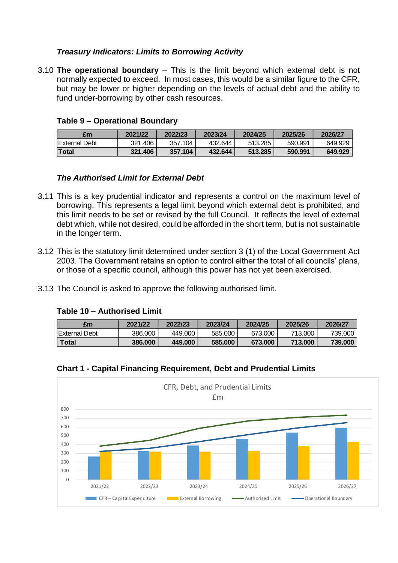## *Treasury Indicators: Limits to Borrowing Activity*

3.10 **The operational boundary** – This is the limit beyond which external debt is not normally expected to exceed. In most cases, this would be a similar figure to the CFR, but may be lower or higher depending on the levels of actual debt and the ability to fund under-borrowing by other cash resources.

#### **Table 9 – Operational Boundary**

| £m                    | 2021/22 | 2022/23 | 2023/24 | 2024/25 | 2025/26 | 2026/27 |
|-----------------------|---------|---------|---------|---------|---------|---------|
| <b>IExternal Debt</b> | 321.406 | 357.104 | 432.644 | 513.285 | 590.991 | 649.929 |
| Total                 | 321.406 | 357.104 | 432.644 | 513.285 | 590.991 | 649.929 |

#### *The Authorised Limit for External Debt*

- 3.11 This is a key prudential indicator and represents a control on the maximum level of borrowing. This represents a legal limit beyond which external debt is prohibited, and this limit needs to be set or revised by the full Council. It reflects the level of external debt which, while not desired, could be afforded in the short term, but is not sustainable in the longer term.
- 3.12 This is the statutory limit determined under section 3 (1) of the Local Government Act 2003. The Government retains an option to control either the total of all councils' plans, or those of a specific council, although this power has not yet been exercised.
- 3.13 The Council is asked to approve the following authorised limit.

#### **Table 10 – Authorised Limit**

| £m                    | 2021/22 | 2022/23 | 2023/24 | 2024/25 | 2025/26 | 2026/27 |
|-----------------------|---------|---------|---------|---------|---------|---------|
| <b>IExternal Debt</b> | 386,000 | 449.000 | 585,000 | 673,000 | 713.000 | 739,000 |
| <b>Total</b>          | 386,000 | 449.000 | 585.000 | 673.000 | 713.000 | 739.000 |



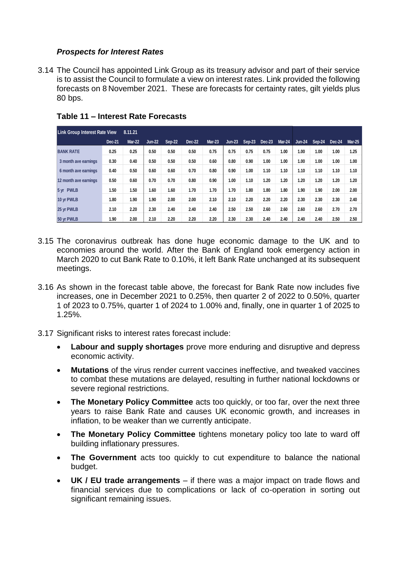#### *Prospects for Interest Rates*

3.14 The Council has appointed Link Group as its treasury advisor and part of their service is to assist the Council to formulate a view on interest rates. Link provided the following forecasts on 8 November 2021. These are forecasts for certainty rates, gilt yields plus 80 bps.

| <b>Link Group Interest Rate View</b> |        | 8.11.21 |               |        |               |               |          |        |          |               |               |        |        |               |
|--------------------------------------|--------|---------|---------------|--------|---------------|---------------|----------|--------|----------|---------------|---------------|--------|--------|---------------|
|                                      | Dec-21 | Mar-22  | <b>Jun-22</b> | Sep-22 | <b>Dec-22</b> | <b>Mar-23</b> | $Jun-23$ | Sep-23 | $Dec-23$ | <b>Mar-24</b> | <b>Jun-24</b> | Sep-24 | Dec-24 | <b>Mar-25</b> |
| <b>BANK RATE</b>                     | 0.25   | 0.25    | 0.50          | 0.50   | 0.50          | 0.75          | 0.75     | 0.75   | 0.75     | 1.00          | 1.00          | 1.00   | 1.00   | 1.25          |
| 3 month ave earnings                 | 0.30   | 0.40    | 0.50          | 0.50   | 0.50          | 0.60          | 0.80     | 0.90   | 1.00     | 1.00          | 1.00          | 1.00   | 1.00   | 1.00          |
| 6 month ave earnings                 | 0.40   | 0.50    | 0.60          | 0.60   | 0.70          | 0.80          | 0.90     | 1.00   | 1.10     | 1.10          | 1.10          | 1.10   | 1.10   | 1.10          |
| 12 month ave earnings                | 0.50   | 0.60    | 0.70          | 0.70   | 0.80          | 0.90          | 1.00     | 1.10   | 1.20     | 1.20          | 1.20          | 1.20   | 1.20   | 1.20          |
| 5 yr PWLB                            | 1.50   | 1.50    | 1.60          | 1.60   | 1.70          | 1.70          | 1.70     | 1.80   | 1.80     | 1.80          | 1.90          | 1.90   | 2.00   | 2.00          |
| 10 yr PWLB                           | 1.80   | 1.90    | 1.90          | 2.00   | 2.00          | 2.10          | 2.10     | 2.20   | 2.20     | 2.20          | 2.30          | 2.30   | 2.30   | 2.40          |
| 25 yr PWLB                           | 2.10   | 2.20    | 2.30          | 2.40   | 2.40          | 2.40          | 2.50     | 2.50   | 2.60     | 2.60          | 2.60          | 2.60   | 2.70   | 2.70          |
| 50 yr PWLB                           | 1.90   | 2.00    | 2.10          | 2.20   | 2.20          | 2.20          | 2.30     | 2.30   | 2.40     | 2.40          | 2.40          | 2.40   | 2.50   | 2.50          |

## **Table 11 – Interest Rate Forecasts**

- 3.15 The coronavirus outbreak has done huge economic damage to the UK and to economies around the world. After the Bank of England took emergency action in March 2020 to cut Bank Rate to 0.10%, it left Bank Rate unchanged at its subsequent meetings.
- 3.16 As shown in the forecast table above, the forecast for Bank Rate now includes five increases, one in December 2021 to 0.25%, then quarter 2 of 2022 to 0.50%, quarter 1 of 2023 to 0.75%, quarter 1 of 2024 to 1.00% and, finally, one in quarter 1 of 2025 to 1.25%.
- 3.17 Significant risks to interest rates forecast include:
	- **Labour and supply shortages** prove more enduring and disruptive and depress economic activity.
	- **Mutations** of the virus render current vaccines ineffective, and tweaked vaccines to combat these mutations are delayed, resulting in further national lockdowns or severe regional restrictions.
	- **The Monetary Policy Committee** acts too quickly, or too far, over the next three years to raise Bank Rate and causes UK economic growth, and increases in inflation, to be weaker than we currently anticipate.
	- **The Monetary Policy Committee** tightens monetary policy too late to ward off building inflationary pressures.
	- **The Government** acts too quickly to cut expenditure to balance the national budget.
	- **UK / EU trade arrangements**  if there was a major impact on trade flows and financial services due to complications or lack of co-operation in sorting out significant remaining issues.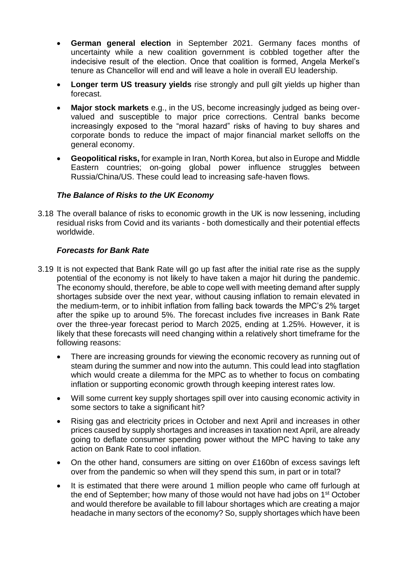- **German general election** in September 2021. Germany faces months of uncertainty while a new coalition government is cobbled together after the indecisive result of the election. Once that coalition is formed, Angela Merkel's tenure as Chancellor will end and will leave a hole in overall EU leadership.
- **Longer term US treasury yields** rise strongly and pull gilt yields up higher than forecast.
- **Major stock markets** e.g., in the US, become increasingly judged as being overvalued and susceptible to major price corrections. Central banks become increasingly exposed to the "moral hazard" risks of having to buy shares and corporate bonds to reduce the impact of major financial market selloffs on the general economy.
- **Geopolitical risks,** for example in Iran, North Korea, but also in Europe and Middle Eastern countries; on-going global power influence struggles between Russia/China/US. These could lead to increasing safe-haven flows.

# *The Balance of Risks to the UK Economy*

3.18 The overall balance of risks to economic growth in the UK is now lessening, including residual risks from Covid and its variants - both domestically and their potential effects worldwide.

# *Forecasts for Bank Rate*

- 3.19 It is not expected that Bank Rate will go up fast after the initial rate rise as the supply potential of the economy is not likely to have taken a major hit during the pandemic. The economy should, therefore, be able to cope well with meeting demand after supply shortages subside over the next year, without causing inflation to remain elevated in the medium-term, or to inhibit inflation from falling back towards the MPC's 2% target after the spike up to around 5%. The forecast includes five increases in Bank Rate over the three-year forecast period to March 2025, ending at 1.25%. However, it is likely that these forecasts will need changing within a relatively short timeframe for the following reasons:
	- There are increasing grounds for viewing the economic recovery as running out of steam during the summer and now into the autumn. This could lead into stagflation which would create a dilemma for the MPC as to whether to focus on combating inflation or supporting economic growth through keeping interest rates low.
	- Will some current key supply shortages spill over into causing economic activity in some sectors to take a significant hit?
	- Rising gas and electricity prices in October and next April and increases in other prices caused by supply shortages and increases in taxation next April, are already going to deflate consumer spending power without the MPC having to take any action on Bank Rate to cool inflation.
	- On the other hand, consumers are sitting on over £160bn of excess savings left over from the pandemic so when will they spend this sum, in part or in total?
	- It is estimated that there were around 1 million people who came off furlough at the end of September; how many of those would not have had jobs on 1st October and would therefore be available to fill labour shortages which are creating a major headache in many sectors of the economy? So, supply shortages which have been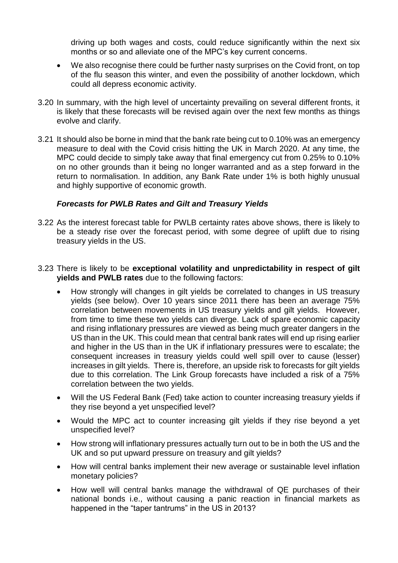driving up both wages and costs, could reduce significantly within the next six months or so and alleviate one of the MPC's key current concerns.

- We also recognise there could be further nasty surprises on the Covid front, on top of the flu season this winter, and even the possibility of another lockdown, which could all depress economic activity.
- 3.20 In summary, with the high level of uncertainty prevailing on several different fronts, it is likely that these forecasts will be revised again over the next few months as things evolve and clarify.
- 3.21 It should also be borne in mind that the bank rate being cut to 0.10% was an emergency measure to deal with the Covid crisis hitting the UK in March 2020. At any time, the MPC could decide to simply take away that final emergency cut from 0.25% to 0.10% on no other grounds than it being no longer warranted and as a step forward in the return to normalisation. In addition, any Bank Rate under 1% is both highly unusual and highly supportive of economic growth.

#### *Forecasts for PWLB Rates and Gilt and Treasury Yields*

- 3.22 As the interest forecast table for PWLB certainty rates above shows, there is likely to be a steady rise over the forecast period, with some degree of uplift due to rising treasury yields in the US.
- 3.23 There is likely to be **exceptional volatility and unpredictability in respect of gilt yields and PWLB rates** due to the following factors:
	- How strongly will changes in gilt yields be correlated to changes in US treasury yields (see below). Over 10 years since 2011 there has been an average 75% correlation between movements in US treasury yields and gilt yields. However, from time to time these two yields can diverge. Lack of spare economic capacity and rising inflationary pressures are viewed as being much greater dangers in the US than in the UK. This could mean that central bank rates will end up rising earlier and higher in the US than in the UK if inflationary pressures were to escalate; the consequent increases in treasury yields could well spill over to cause (lesser) increases in gilt yields. There is, therefore, an upside risk to forecasts for gilt yields due to this correlation. The Link Group forecasts have included a risk of a 75% correlation between the two yields.
	- Will the US Federal Bank (Fed) take action to counter increasing treasury yields if they rise beyond a yet unspecified level?
	- Would the MPC act to counter increasing gilt yields if they rise beyond a yet unspecified level?
	- How strong will inflationary pressures actually turn out to be in both the US and the UK and so put upward pressure on treasury and gilt yields?
	- How will central banks implement their new average or sustainable level inflation monetary policies?
	- How well will central banks manage the withdrawal of QE purchases of their national bonds i.e., without causing a panic reaction in financial markets as happened in the "taper tantrums" in the US in 2013?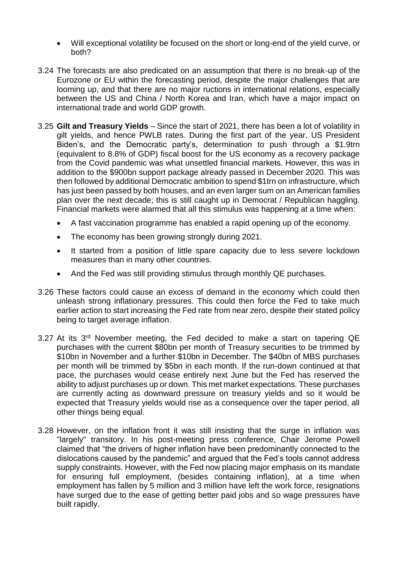- Will exceptional volatility be focused on the short or long-end of the yield curve, or both?
- 3.24 The forecasts are also predicated on an assumption that there is no break-up of the Eurozone or EU within the forecasting period, despite the major challenges that are looming up, and that there are no major ructions in international relations, especially between the US and China / North Korea and Iran, which have a major impact on international trade and world GDP growth.
- 3.25 **Gilt and Treasury Yields** Since the start of 2021, there has been a lot of volatility in gilt yields, and hence PWLB rates. During the first part of the year, US President Biden's, and the Democratic party's, determination to push through a \$1.9trn (equivalent to 8.8% of GDP) fiscal boost for the US economy as a recovery package from the Covid pandemic was what unsettled financial markets. However, this was in addition to the \$900bn support package already passed in December 2020. This was then followed by additional Democratic ambition to spend \$1trn on infrastructure, which has just been passed by both houses, and an even larger sum on an American families plan over the next decade; this is still caught up in Democrat / Republican haggling. Financial markets were alarmed that all this stimulus was happening at a time when:
	- A fast vaccination programme has enabled a rapid opening up of the economy.
	- The economy has been growing strongly during 2021.
	- It started from a position of little spare capacity due to less severe lockdown measures than in many other countries.
	- And the Fed was still providing stimulus through monthly QE purchases.
- 3.26 These factors could cause an excess of demand in the economy which could then unleash strong inflationary pressures. This could then force the Fed to take much earlier action to start increasing the Fed rate from near zero, despite their stated policy being to target average inflation.
- 3.27 At its 3<sup>rd</sup> November meeting, the Fed decided to make a start on tapering QE purchases with the current \$80bn per month of Treasury securities to be trimmed by \$10bn in November and a further \$10bn in December. The \$40bn of MBS purchases per month will be trimmed by \$5bn in each month. If the run-down continued at that pace, the purchases would cease entirely next June but the Fed has reserved the ability to adjust purchases up or down. This met market expectations. These purchases are currently acting as downward pressure on treasury yields and so it would be expected that Treasury yields would rise as a consequence over the taper period, all other things being equal.
- 3.28 However, on the inflation front it was still insisting that the surge in inflation was "largely" transitory. In his post-meeting press conference, Chair Jerome Powell claimed that "the drivers of higher inflation have been predominantly connected to the dislocations caused by the pandemic" and argued that the Fed's tools cannot address supply constraints. However, with the Fed now placing major emphasis on its mandate for ensuring full employment, (besides containing inflation), at a time when employment has fallen by 5 million and 3 million have left the work force, resignations have surged due to the ease of getting better paid jobs and so wage pressures have built rapidly.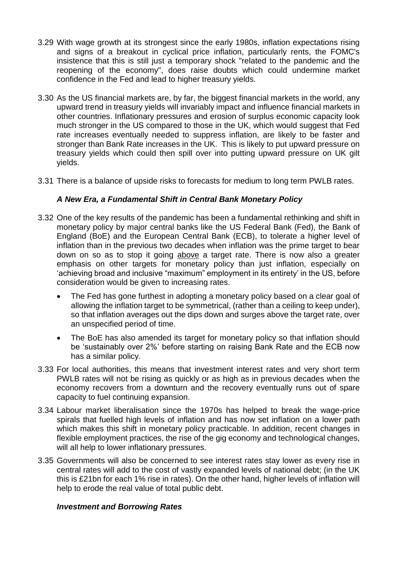- 3.29 With wage growth at its strongest since the early 1980s, inflation expectations rising and signs of a breakout in cyclical price inflation, particularly rents, the FOMC's insistence that this is still just a temporary shock "related to the pandemic and the reopening of the economy", does raise doubts which could undermine market confidence in the Fed and lead to higher treasury yields.
- 3.30 As the US financial markets are, by far, the biggest financial markets in the world, any upward trend in treasury yields will invariably impact and influence financial markets in other countries. Inflationary pressures and erosion of surplus economic capacity look much stronger in the US compared to those in the UK, which would suggest that Fed rate increases eventually needed to suppress inflation, are likely to be faster and stronger than Bank Rate increases in the UK. This is likely to put upward pressure on treasury yields which could then spill over into putting upward pressure on UK gilt yields.
- 3.31 There is a balance of upside risks to forecasts for medium to long term PWLB rates.

# *A New Era, a Fundamental Shift in Central Bank Monetary Policy*

- 3.32 One of the key results of the pandemic has been a fundamental rethinking and shift in monetary policy by major central banks like the US Federal Bank (Fed), the Bank of England (BoE) and the European Central Bank (ECB), to tolerate a higher level of inflation than in the previous two decades when inflation was the prime target to bear down on so as to stop it going above a target rate. There is now also a greater emphasis on other targets for monetary policy than just inflation, especially on 'achieving broad and inclusive "maximum" employment in its entirety' in the US, before consideration would be given to increasing rates.
	- The Fed has gone furthest in adopting a monetary policy based on a clear goal of allowing the inflation target to be symmetrical, (rather than a ceiling to keep under), so that inflation averages out the dips down and surges above the target rate, over an unspecified period of time.
	- The BoE has also amended its target for monetary policy so that inflation should be 'sustainably over 2%' before starting on raising Bank Rate and the ECB now has a similar policy.
- 3.33 For local authorities, this means that investment interest rates and very short term PWLB rates will not be rising as quickly or as high as in previous decades when the economy recovers from a downturn and the recovery eventually runs out of spare capacity to fuel continuing expansion.
- 3.34 Labour market liberalisation since the 1970s has helped to break the wage-price spirals that fuelled high levels of inflation and has now set inflation on a lower path which makes this shift in monetary policy practicable. In addition, recent changes in flexible employment practices, the rise of the gig economy and technological changes, will all help to lower inflationary pressures.
- 3.35 Governments will also be concerned to see interest rates stay lower as every rise in central rates will add to the cost of vastly expanded levels of national debt; (in the UK this is £21bn for each 1% rise in rates). On the other hand, higher levels of inflation will help to erode the real value of total public debt.

#### *Investment and Borrowing Rates*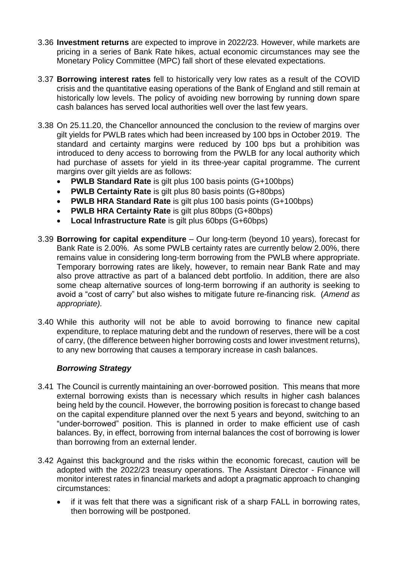- 3.36 **Investment returns** are expected to improve in 2022/23. However, while markets are pricing in a series of Bank Rate hikes, actual economic circumstances may see the Monetary Policy Committee (MPC) fall short of these elevated expectations.
- 3.37 **Borrowing interest rates** fell to historically very low rates as a result of the COVID crisis and the quantitative easing operations of the Bank of England and still remain at historically low levels. The policy of avoiding new borrowing by running down spare cash balances has served local authorities well over the last few years.
- 3.38 On 25.11.20, the Chancellor announced the conclusion to the review of margins over gilt yields for PWLB rates which had been increased by 100 bps in October 2019. The standard and certainty margins were reduced by 100 bps but a prohibition was introduced to deny access to borrowing from the PWLB for any local authority which had purchase of assets for yield in its three-year capital programme. The current margins over gilt yields are as follows:
	- **PWLB Standard Rate** is gilt plus 100 basis points (G+100bps)
	- **PWLB Certainty Rate** is gilt plus 80 basis points (G+80bps)
	- **PWLB HRA Standard Rate** is gilt plus 100 basis points (G+100bps)
	- **PWLB HRA Certainty Rate** is gilt plus 80bps (G+80bps)
	- **Local Infrastructure Rate** is gilt plus 60bps (G+60bps)
- 3.39 **Borrowing for capital expenditure** Our long-term (beyond 10 years), forecast for Bank Rate is 2.00%. As some PWLB certainty rates are currently below 2.00%, there remains value in considering long-term borrowing from the PWLB where appropriate. Temporary borrowing rates are likely, however, to remain near Bank Rate and may also prove attractive as part of a balanced debt portfolio. In addition, there are also some cheap alternative sources of long-term borrowing if an authority is seeking to avoid a "cost of carry" but also wishes to mitigate future re-financing risk. (*Amend as appropriate).*
- 3.40 While this authority will not be able to avoid borrowing to finance new capital expenditure, to replace maturing debt and the rundown of reserves, there will be a cost of carry, (the difference between higher borrowing costs and lower investment returns), to any new borrowing that causes a temporary increase in cash balances.

#### *Borrowing Strategy*

- 3.41 The Council is currently maintaining an over-borrowed position. This means that more external borrowing exists than is necessary which results in higher cash balances being held by the council. However, the borrowing position is forecast to change based on the capital expenditure planned over the next 5 years and beyond, switching to an "under-borrowed" position. This is planned in order to make efficient use of cash balances. By, in effect, borrowing from internal balances the cost of borrowing is lower than borrowing from an external lender.
- 3.42 Against this background and the risks within the economic forecast, caution will be adopted with the 2022/23 treasury operations. The Assistant Director - Finance will monitor interest rates in financial markets and adopt a pragmatic approach to changing circumstances:
	- if it was felt that there was a significant risk of a sharp FALL in borrowing rates, then borrowing will be postponed.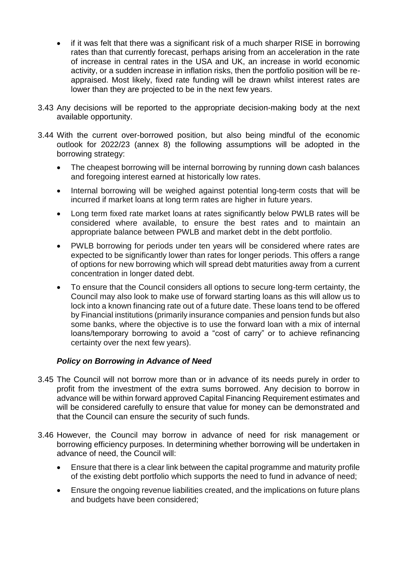- if it was felt that there was a significant risk of a much sharper RISE in borrowing rates than that currently forecast, perhaps arising from an acceleration in the rate of increase in central rates in the USA and UK, an increase in world economic activity, or a sudden increase in inflation risks, then the portfolio position will be reappraised. Most likely, fixed rate funding will be drawn whilst interest rates are lower than they are projected to be in the next few years.
- 3.43 Any decisions will be reported to the appropriate decision-making body at the next available opportunity.
- 3.44 With the current over-borrowed position, but also being mindful of the economic outlook for 2022/23 (annex 8) the following assumptions will be adopted in the borrowing strategy:
	- The cheapest borrowing will be internal borrowing by running down cash balances and foregoing interest earned at historically low rates.
	- Internal borrowing will be weighed against potential long-term costs that will be incurred if market loans at long term rates are higher in future years.
	- Long term fixed rate market loans at rates significantly below PWLB rates will be considered where available, to ensure the best rates and to maintain an appropriate balance between PWLB and market debt in the debt portfolio.
	- PWLB borrowing for periods under ten years will be considered where rates are expected to be significantly lower than rates for longer periods. This offers a range of options for new borrowing which will spread debt maturities away from a current concentration in longer dated debt.
	- To ensure that the Council considers all options to secure long-term certainty, the Council may also look to make use of forward starting loans as this will allow us to lock into a known financing rate out of a future date. These loans tend to be offered by Financial institutions (primarily insurance companies and pension funds but also some banks, where the objective is to use the forward loan with a mix of internal loans/temporary borrowing to avoid a "cost of carry" or to achieve refinancing certainty over the next few years).

# *Policy on Borrowing in Advance of Need*

- 3.45 The Council will not borrow more than or in advance of its needs purely in order to profit from the investment of the extra sums borrowed. Any decision to borrow in advance will be within forward approved Capital Financing Requirement estimates and will be considered carefully to ensure that value for money can be demonstrated and that the Council can ensure the security of such funds.
- 3.46 However, the Council may borrow in advance of need for risk management or borrowing efficiency purposes. In determining whether borrowing will be undertaken in advance of need, the Council will:
	- Ensure that there is a clear link between the capital programme and maturity profile of the existing debt portfolio which supports the need to fund in advance of need;
	- Ensure the ongoing revenue liabilities created, and the implications on future plans and budgets have been considered;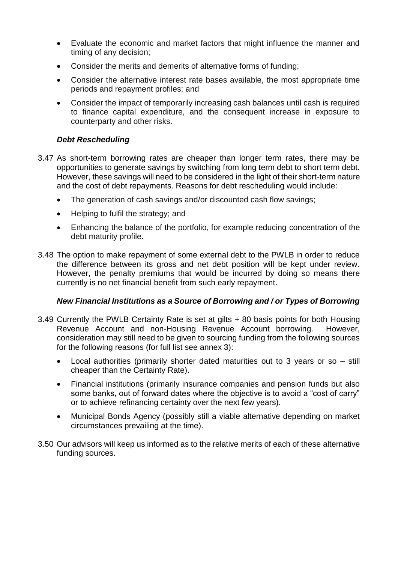- Evaluate the economic and market factors that might influence the manner and timing of any decision;
- Consider the merits and demerits of alternative forms of funding;
- Consider the alternative interest rate bases available, the most appropriate time periods and repayment profiles; and
- Consider the impact of temporarily increasing cash balances until cash is required to finance capital expenditure, and the consequent increase in exposure to counterparty and other risks.

# *Debt Rescheduling*

- 3.47 As short-term borrowing rates are cheaper than longer term rates, there may be opportunities to generate savings by switching from long term debt to short term debt. However, these savings will need to be considered in the light of their short-term nature and the cost of debt repayments. Reasons for debt rescheduling would include:
	- The generation of cash savings and/or discounted cash flow savings;
	- Helping to fulfil the strategy; and
	- Enhancing the balance of the portfolio, for example reducing concentration of the debt maturity profile.
- 3.48 The option to make repayment of some external debt to the PWLB in order to reduce the difference between its gross and net debt position will be kept under review. However, the penalty premiums that would be incurred by doing so means there currently is no net financial benefit from such early repayment.

# *New Financial Institutions as a Source of Borrowing and / or Types of Borrowing*

- 3.49 Currently the PWLB Certainty Rate is set at gilts + 80 basis points for both Housing Revenue Account and non-Housing Revenue Account borrowing. However, consideration may still need to be given to sourcing funding from the following sources for the following reasons (for full list see annex 3):
	- Local authorities (primarily shorter dated maturities out to 3 years or so still cheaper than the Certainty Rate).
	- Financial institutions (primarily insurance companies and pension funds but also some banks, out of forward dates where the objective is to avoid a "cost of carry" or to achieve refinancing certainty over the next few years).
	- Municipal Bonds Agency (possibly still a viable alternative depending on market circumstances prevailing at the time).
- 3.50 Our advisors will keep us informed as to the relative merits of each of these alternative funding sources.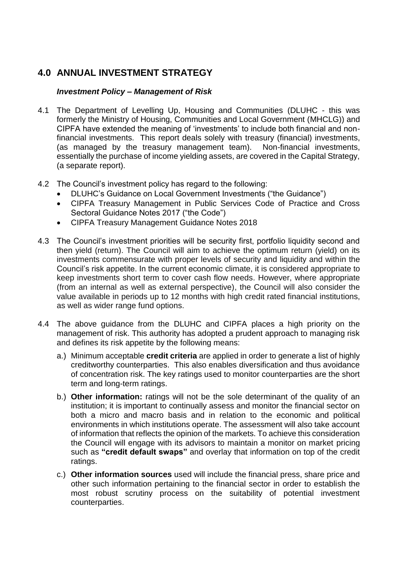# **4.0 ANNUAL INVESTMENT STRATEGY**

## *Investment Policy – Management of Risk*

- 4.1 The Department of Levelling Up, Housing and Communities (DLUHC this was formerly the Ministry of Housing, Communities and Local Government (MHCLG)) and CIPFA have extended the meaning of 'investments' to include both financial and nonfinancial investments. This report deals solely with treasury (financial) investments, (as managed by the treasury management team). Non-financial investments, essentially the purchase of income yielding assets, are covered in the Capital Strategy, (a separate report).
- 4.2 The Council's investment policy has regard to the following:
	- DLUHC's Guidance on Local Government Investments ("the Guidance")
	- CIPFA Treasury Management in Public Services Code of Practice and Cross Sectoral Guidance Notes 2017 ("the Code")
	- CIPFA Treasury Management Guidance Notes 2018
- 4.3 The Council's investment priorities will be security first, portfolio liquidity second and then yield (return). The Council will aim to achieve the optimum return (yield) on its investments commensurate with proper levels of security and liquidity and within the Council's risk appetite. In the current economic climate, it is considered appropriate to keep investments short term to cover cash flow needs. However, where appropriate (from an internal as well as external perspective), the Council will also consider the value available in periods up to 12 months with high credit rated financial institutions, as well as wider range fund options.
- 4.4 The above guidance from the DLUHC and CIPFA places a high priority on the management of risk. This authority has adopted a prudent approach to managing risk and defines its risk appetite by the following means:
	- a.) Minimum acceptable **credit criteria** are applied in order to generate a list of highly creditworthy counterparties. This also enables diversification and thus avoidance of concentration risk. The key ratings used to monitor counterparties are the short term and long-term ratings.
	- b.) **Other information:** ratings will not be the sole determinant of the quality of an institution; it is important to continually assess and monitor the financial sector on both a micro and macro basis and in relation to the economic and political environments in which institutions operate. The assessment will also take account of information that reflects the opinion of the markets. To achieve this consideration the Council will engage with its advisors to maintain a monitor on market pricing such as **"credit default swaps"** and overlay that information on top of the credit ratings.
	- c.) **Other information sources** used will include the financial press, share price and other such information pertaining to the financial sector in order to establish the most robust scrutiny process on the suitability of potential investment counterparties.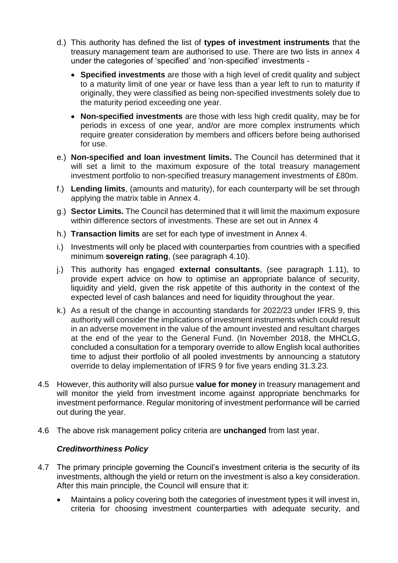- d.) This authority has defined the list of **types of investment instruments** that the treasury management team are authorised to use. There are two lists in annex 4 under the categories of 'specified' and 'non-specified' investments -
	- **Specified investments** are those with a high level of credit quality and subject to a maturity limit of one year or have less than a year left to run to maturity if originally, they were classified as being non-specified investments solely due to the maturity period exceeding one year.
	- **Non-specified investments** are those with less high credit quality, may be for periods in excess of one year, and/or are more complex instruments which require greater consideration by members and officers before being authorised for use.
- e.) **Non-specified and loan investment limits.** The Council has determined that it will set a limit to the maximum exposure of the total treasury management investment portfolio to non-specified treasury management investments of £80m.
- f.) **Lending limits**, (amounts and maturity), for each counterparty will be set through applying the matrix table in Annex 4.
- g.) **Sector Limits.** The Council has determined that it will limit the maximum exposure within difference sectors of investments. These are set out in Annex 4
- h.) **Transaction limits** are set for each type of investment in Annex 4.
- i.) Investments will only be placed with counterparties from countries with a specified minimum **sovereign rating**, (see paragraph 4.10).
- j.) This authority has engaged **external consultants**, (see paragraph 1.11), to provide expert advice on how to optimise an appropriate balance of security, liquidity and yield, given the risk appetite of this authority in the context of the expected level of cash balances and need for liquidity throughout the year.
- k.) As a result of the change in accounting standards for 2022/23 under IFRS 9, this authority will consider the implications of investment instruments which could result in an adverse movement in the value of the amount invested and resultant charges at the end of the year to the General Fund. (In November 2018, the MHCLG, concluded a consultation for a temporary override to allow English local authorities time to adjust their portfolio of all pooled investments by announcing a statutory override to delay implementation of IFRS 9 for five years ending 31.3.23.
- 4.5 However, this authority will also pursue **value for money** in treasury management and will monitor the vield from investment income against appropriate benchmarks for investment performance. Regular monitoring of investment performance will be carried out during the year.
- 4.6 The above risk management policy criteria are **unchanged** from last year.

#### *Creditworthiness Policy*

- 4.7 The primary principle governing the Council's investment criteria is the security of its investments, although the yield or return on the investment is also a key consideration. After this main principle, the Council will ensure that it:
	- Maintains a policy covering both the categories of investment types it will invest in, criteria for choosing investment counterparties with adequate security, and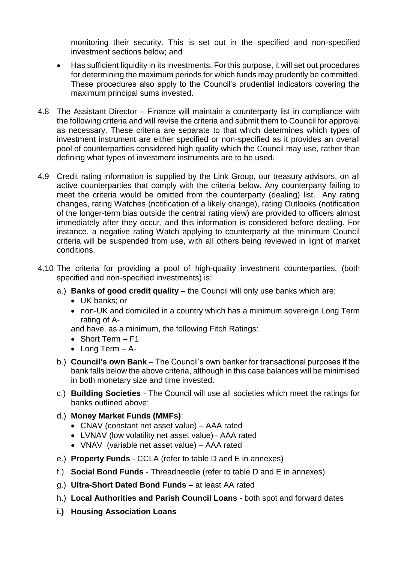monitoring their security. This is set out in the specified and non-specified investment sections below; and

- Has sufficient liquidity in its investments. For this purpose, it will set out procedures for determining the maximum periods for which funds may prudently be committed. These procedures also apply to the Council's prudential indicators covering the maximum principal sums invested.
- 4.8 The Assistant Director Finance will maintain a counterparty list in compliance with the following criteria and will revise the criteria and submit them to Council for approval as necessary. These criteria are separate to that which determines which types of investment instrument are either specified or non-specified as it provides an overall pool of counterparties considered high quality which the Council may use, rather than defining what types of investment instruments are to be used.
- 4.9 Credit rating information is supplied by the Link Group, our treasury advisors, on all active counterparties that comply with the criteria below. Any counterparty failing to meet the criteria would be omitted from the counterparty (dealing) list. Any rating changes, rating Watches (notification of a likely change), rating Outlooks (notification of the longer-term bias outside the central rating view) are provided to officers almost immediately after they occur, and this information is considered before dealing. For instance, a negative rating Watch applying to counterparty at the minimum Council criteria will be suspended from use, with all others being reviewed in light of market conditions.
- 4.10 The criteria for providing a pool of high-quality investment counterparties, (both specified and non-specified investments) is:
	- a.) **Banks of good credit quality –** the Council will only use banks which are:
		- UK banks; or
		- non-UK and domiciled in a country which has a minimum sovereign Long Term rating of A-
		- and have, as a minimum, the following Fitch Ratings:
		- Short Term F1
		- Long Term A-
	- b.) **Council's own Bank** The Council's own banker for transactional purposes if the bank falls below the above criteria, although in this case balances will be minimised in both monetary size and time invested.
	- c.) **Building Societies** The Council will use all societies which meet the ratings for banks outlined above;
	- d.) **Money Market Funds (MMFs)**:
		- CNAV (constant net asset value) AAA rated
		- LVNAV (low volatility net asset value)– AAA rated
		- VNAV (variable net asset value) AAA rated
	- e.) **Property Funds** CCLA (refer to table D and E in annexes)
	- f.) **Social Bond Funds** Threadneedle (refer to table D and E in annexes)
	- g.) **Ultra-Short Dated Bond Funds** at least AA rated
	- h.) **Local Authorities and Parish Council Loans** both spot and forward dates
	- **i.) Housing Association Loans**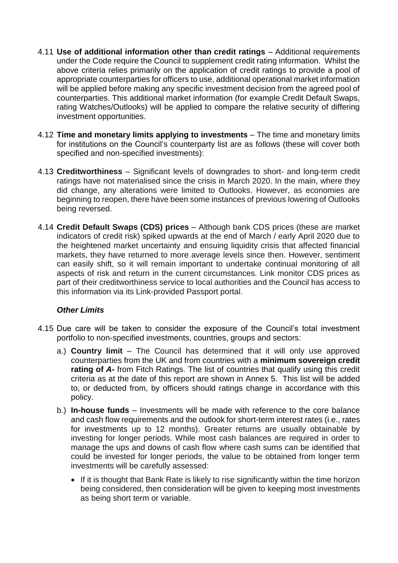- 4.11 **Use of additional information other than credit ratings** Additional requirements under the Code require the Council to supplement credit rating information. Whilst the above criteria relies primarily on the application of credit ratings to provide a pool of appropriate counterparties for officers to use, additional operational market information will be applied before making any specific investment decision from the agreed pool of counterparties. This additional market information (for example Credit Default Swaps, rating Watches/Outlooks) will be applied to compare the relative security of differing investment opportunities.
- 4.12 **Time and monetary limits applying to investments** The time and monetary limits for institutions on the Council's counterparty list are as follows (these will cover both specified and non-specified investments):
- 4.13 **Creditworthiness** Significant levels of downgrades to short- and long-term credit ratings have not materialised since the crisis in March 2020. In the main, where they did change, any alterations were limited to Outlooks. However, as economies are beginning to reopen, there have been some instances of previous lowering of Outlooks being reversed.
- 4.14 **Credit Default Swaps (CDS) prices** Although bank CDS prices (these are market indicators of credit risk) spiked upwards at the end of March / early April 2020 due to the heightened market uncertainty and ensuing liquidity crisis that affected financial markets, they have returned to more average levels since then. However, sentiment can easily shift, so it will remain important to undertake continual monitoring of all aspects of risk and return in the current circumstances. Link monitor CDS prices as part of their creditworthiness service to local authorities and the Council has access to this information via its Link-provided Passport portal.

# *Other Limits*

- 4.15 Due care will be taken to consider the exposure of the Council's total investment portfolio to non-specified investments, countries, groups and sectors:
	- a.) **Country limit** The Council has determined that it will only use approved counterparties from the UK and from countries with a **minimum sovereign credit rating of A-** from Fitch Ratings. The list of countries that qualify using this credit criteria as at the date of this report are shown in Annex 5. This list will be added to, or deducted from, by officers should ratings change in accordance with this policy.
	- b.) **In-house funds** Investments will be made with reference to the core balance and cash flow requirements and the outlook for short-term interest rates (i.e., rates for investments up to 12 months). Greater returns are usually obtainable by investing for longer periods. While most cash balances are required in order to manage the ups and downs of cash flow where cash sums can be identified that could be invested for longer periods, the value to be obtained from longer term investments will be carefully assessed:
		- If it is thought that Bank Rate is likely to rise significantly within the time horizon being considered, then consideration will be given to keeping most investments as being short term or variable.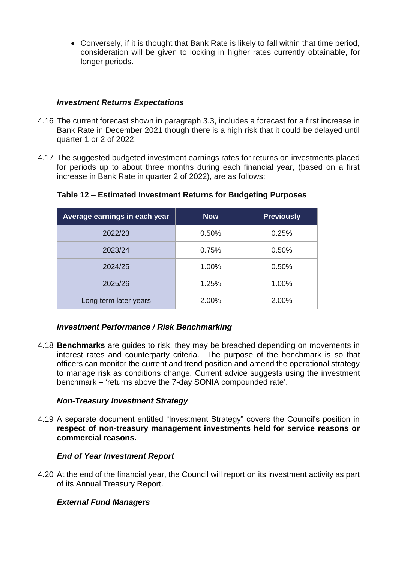Conversely, if it is thought that Bank Rate is likely to fall within that time period, consideration will be given to locking in higher rates currently obtainable, for longer periods.

#### *Investment Returns Expectations*

- 4.16 The current forecast shown in paragraph 3.3, includes a forecast for a first increase in Bank Rate in December 2021 though there is a high risk that it could be delayed until quarter 1 or 2 of 2022.
- 4.17 The suggested budgeted investment earnings rates for returns on investments placed for periods up to about three months during each financial year, (based on a first increase in Bank Rate in quarter 2 of 2022), are as follows:

| Average earnings in each year | <b>Now</b> | <b>Previously</b> |
|-------------------------------|------------|-------------------|
| 2022/23                       | 0.50%      | 0.25%             |
| 2023/24                       | 0.75%      | 0.50%             |
| 2024/25                       | 1.00%      | 0.50%             |
| 2025/26                       | 1.25%      | 1.00%             |
| Long term later years         | 2.00%      | 2.00%             |

# **Table 12 – Estimated Investment Returns for Budgeting Purposes**

#### *Investment Performance / Risk Benchmarking*

4.18 **Benchmarks** are guides to risk, they may be breached depending on movements in interest rates and counterparty criteria. The purpose of the benchmark is so that officers can monitor the current and trend position and amend the operational strategy to manage risk as conditions change. Current advice suggests using the investment benchmark – 'returns above the 7-day SONIA compounded rate'.

#### *Non-Treasury Investment Strategy*

4.19 A separate document entitled "Investment Strategy" covers the Council's position in **respect of non-treasury management investments held for service reasons or commercial reasons.**

# *End of Year Investment Report*

4.20 At the end of the financial year, the Council will report on its investment activity as part of its Annual Treasury Report.

# *External Fund Managers*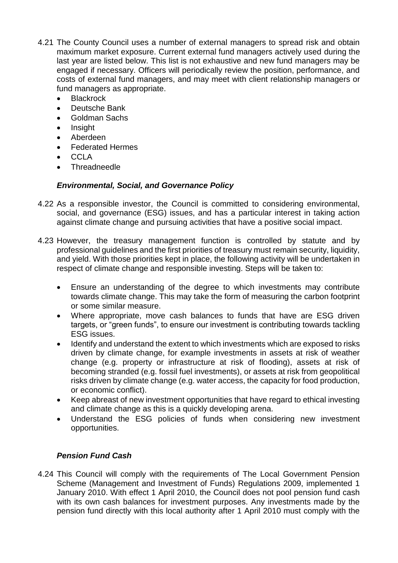- 4.21 The County Council uses a number of external managers to spread risk and obtain maximum market exposure. Current external fund managers actively used during the last year are listed below. This list is not exhaustive and new fund managers may be engaged if necessary. Officers will periodically review the position, performance, and costs of external fund managers, and may meet with client relationship managers or fund managers as appropriate.
	- **Blackrock**
	- Deutsche Bank
	- Goldman Sachs
	- Insight
	- Aberdeen
	- Federated Hermes
	- CCL<sub>A</sub>
	- **Threadneedle**

# *Environmental, Social, and Governance Policy*

- 4.22 As a responsible investor, the Council is committed to considering environmental, social, and governance (ESG) issues, and has a particular interest in taking action against climate change and pursuing activities that have a positive social impact.
- 4.23 However, the treasury management function is controlled by statute and by professional guidelines and the first priorities of treasury must remain security, liquidity, and yield. With those priorities kept in place, the following activity will be undertaken in respect of climate change and responsible investing. Steps will be taken to:
	- Ensure an understanding of the degree to which investments may contribute towards climate change. This may take the form of measuring the carbon footprint or some similar measure.
	- Where appropriate, move cash balances to funds that have are ESG driven targets, or "green funds", to ensure our investment is contributing towards tackling ESG issues.
	- Identify and understand the extent to which investments which are exposed to risks driven by climate change, for example investments in assets at risk of weather change (e.g. property or infrastructure at risk of flooding), assets at risk of becoming stranded (e.g. fossil fuel investments), or assets at risk from geopolitical risks driven by climate change (e.g. water access, the capacity for food production, or economic conflict).
	- Keep abreast of new investment opportunities that have regard to ethical investing and climate change as this is a quickly developing arena.
	- Understand the ESG policies of funds when considering new investment opportunities.

# *Pension Fund Cash*

4.24 This Council will comply with the requirements of The Local Government Pension Scheme (Management and Investment of Funds) Regulations 2009, implemented 1 January 2010. With effect 1 April 2010, the Council does not pool pension fund cash with its own cash balances for investment purposes. Any investments made by the pension fund directly with this local authority after 1 April 2010 must comply with the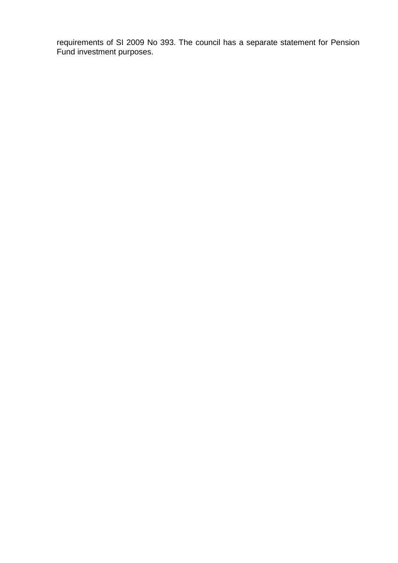requirements of SI 2009 No 393. The council has a separate statement for Pension Fund investment purposes.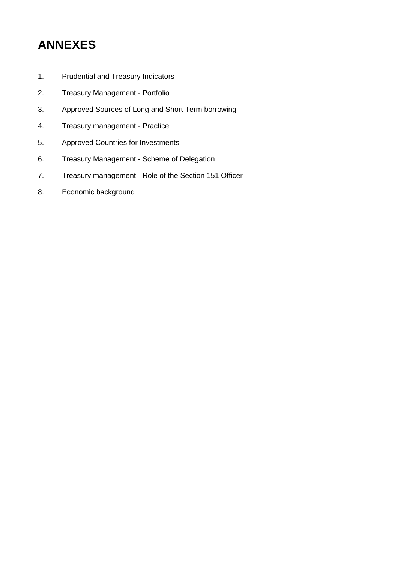# **ANNEXES**

- 1. Prudential and Treasury Indicators
- 2. Treasury Management Portfolio
- 3. Approved Sources of Long and Short Term borrowing
- 4. Treasury management Practice
- 5. Approved Countries for Investments
- 6. Treasury Management Scheme of Delegation
- 7. Treasury management Role of the Section 151 Officer
- 8. Economic background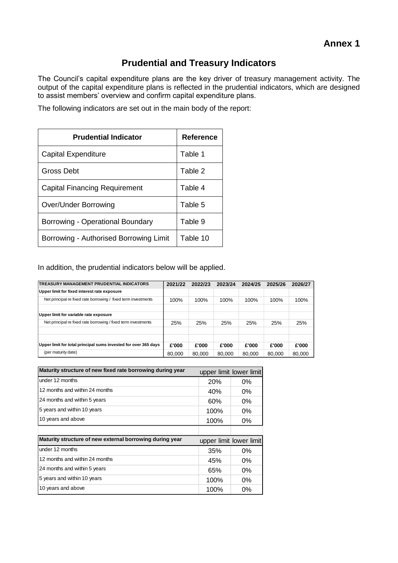# **Prudential and Treasury Indicators**

The Council's capital expenditure plans are the key driver of treasury management activity. The output of the capital expenditure plans is reflected in the prudential indicators, which are designed to assist members' overview and confirm capital expenditure plans.

The following indicators are set out in the main body of the report:

| <b>Prudential Indicator</b>            | <b>Reference</b> |
|----------------------------------------|------------------|
| Capital Expenditure                    | Table 1          |
| Gross Debt                             | Table 2          |
| Capital Financing Requirement          | Table 4          |
| Over/Under Borrowing                   | Table 5          |
| Borrowing - Operational Boundary       | Table 9          |
| Borrowing - Authorised Borrowing Limit | Table 10         |

In addition, the prudential indicators below will be applied.

| TREASURY MANAGEMENT PRUDENTIAL INDICATORS                       | 2021/22 | 2022/23 | 2023/24 | 2024/25 | 2025/26 | 2026/27 |
|-----------------------------------------------------------------|---------|---------|---------|---------|---------|---------|
| Upper limit for fixed interest rate exposure                    |         |         |         |         |         |         |
| Net principal re fixed rate borrowing / fixed term investments  | 100%    | 100%    | 100%    | 100%    | 100%    | 100%    |
| Upper limit for variable rate exposure                          |         |         |         |         |         |         |
| Net principal re fixed rate borrowing / fixed term investments  | 25%     | 25%     | 25%     | 25%     | 25%     | 25%     |
|                                                                 |         |         |         |         |         |         |
|                                                                 |         |         |         |         |         |         |
| Upper limit for total principal sums invested for over 365 days | £'000   | £'000   | £'000   | £'000   | £'000   | £'000   |
| (per maturity date)                                             | 80,000  | 80,000  | 80,000  | 80,000  | 80,000  | 80,000  |

| Maturity structure of new fixed rate borrowing during year |            | upper limit lower limit |
|------------------------------------------------------------|------------|-------------------------|
| under 12 months                                            | <b>20%</b> | $0\%$                   |
| 12 months and within 24 months                             | 40%        | $0\%$                   |
| 24 months and within 5 years                               | 60%        | $0\%$                   |
| 5 years and within 10 years                                | 100%       | $0\%$                   |
| 10 years and above                                         | 100%       | 0%                      |
|                                                            |            |                         |
| Maturity structure of new external borrowing during year   |            | upper limit lower limit |
| under 12 months                                            | 35%        | $0\%$                   |
| 12 months and within 24 months                             | 45%        | $0\%$                   |
| 24 months and within 5 years                               | 65%        | $0\%$                   |
| 5 years and within 10 years                                | 100%       | $0\%$                   |
| 10 years and above                                         | 100%       | 0%                      |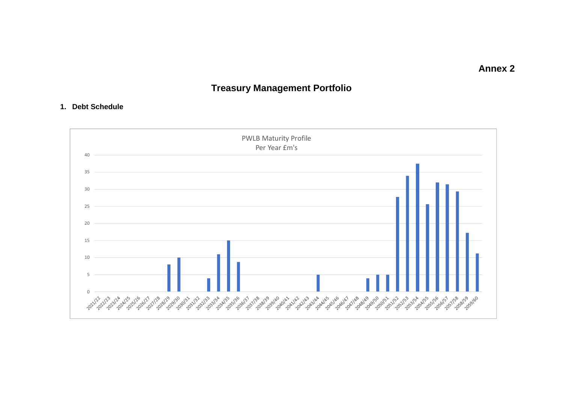**Annex 2**

# **Treasury Management Portfolio**

#### **1. Debt Schedule**

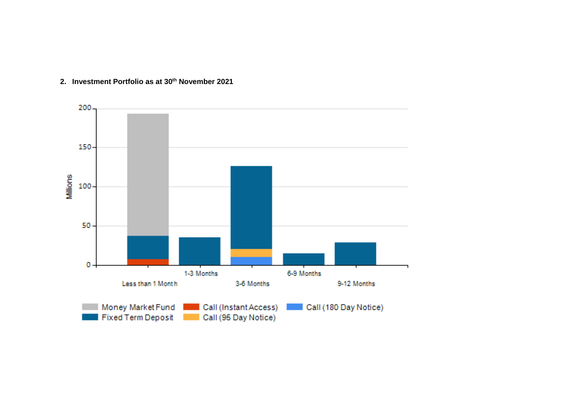

#### **2. Investment Portfolio as at 30 th November 2021**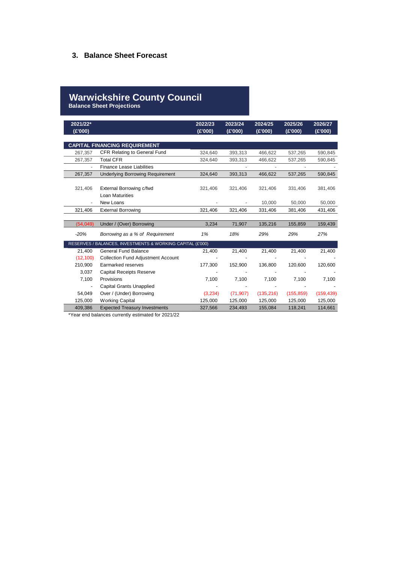#### **3. Balance Sheet Forecast**

# **Warwickshire County Council**

**Balance Sheet Projections**

| 2021/22*<br>(£'000) |                                                            | 2022/23<br>(E'000) | 2023/24<br>(E'000) | 2024/25<br>(E'000) | 2025/26<br>(E'000) | 2026/27<br>(E'000) |
|---------------------|------------------------------------------------------------|--------------------|--------------------|--------------------|--------------------|--------------------|
|                     |                                                            |                    |                    |                    |                    |                    |
|                     | <b>CAPITAL FINANCING REQUIREMENT</b>                       |                    |                    |                    |                    |                    |
| 267,357             | CFR Relating to General Fund                               | 324,640            | 393,313            | 466,622            | 537,265            | 590,845            |
| 267,357             | <b>Total CFR</b>                                           | 324,640            | 393,313            | 466,622            | 537,265            | 590,845            |
|                     | <b>Finance Lease Liabilities</b>                           |                    |                    |                    |                    |                    |
| 267,357             | <b>Underlying Borrowing Requirement</b>                    | 324,640            | 393,313            | 466,622            | 537,265            | 590,845            |
| 321,406             | External Borrowing c/fwd<br>Loan Maturities                | 321,406            | 321,406            | 321,406            | 331,406            | 381,406            |
|                     | New Loans                                                  |                    |                    | 10,000             | 50,000             | 50,000             |
| 321,406             | <b>External Borrowing</b>                                  | 321,406            | 321,406            | 331,406            | 381,406            | 431,406            |
|                     |                                                            |                    |                    |                    |                    |                    |
| (54, 049)           | Under / (Over) Borrowing                                   | 3,234              | 71,907             | 135,216            | 155,859            | 159,439            |
| $-20%$              | Borrowing as a % of Requirement                            | 1%                 | 18%                | 29%                | 29%                | 27%                |
|                     | RESERVES / BALANCES, INVESTMENTS & WORKING CAPITAL (£'000) |                    |                    |                    |                    |                    |
| 21,400              | <b>General Fund Balance</b>                                | 21,400             | 21,400             | 21,400             | 21,400             | 21,400             |
| (12, 100)           | <b>Collection Fund Adjustment Account</b>                  |                    |                    |                    |                    |                    |
| 210,900             | Earmarked reserves                                         | 177,300            | 152,900            | 136,800            | 120,600            | 120,600            |
| 3,037               | <b>Capital Receipts Reserve</b>                            |                    |                    |                    |                    |                    |
| 7,100               | Provisions                                                 | 7,100              | 7,100              | 7,100              | 7,100              | 7,100              |
|                     | <b>Capital Grants Unapplied</b>                            |                    |                    |                    |                    |                    |
| 54,049              | Over / (Under) Borrowing                                   | (3,234)            | (71, 907)          | (135, 216)         | (155, 859)         | (159, 439)         |
| 125,000             | <b>Working Capital</b>                                     | 125,000            | 125,000            | 125,000            | 125,000            | 125,000            |
| 409,386             | <b>Expected Treasury Investments</b>                       | 327,566            | 234,493            | 155,084            | 118,241            | 114,661            |

\*Year end balances currently estimated for 2021/22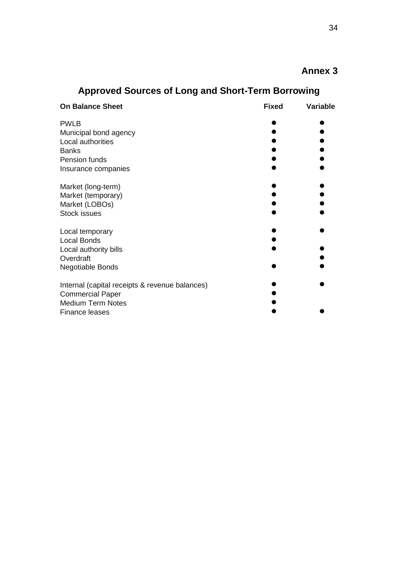# **Annex 3**

| <b>On Balance Sheet</b>                        | <b>Fixed</b> | <b>Variable</b> |
|------------------------------------------------|--------------|-----------------|
| <b>PWLB</b>                                    |              |                 |
| Municipal bond agency                          |              |                 |
| Local authorities                              |              |                 |
| <b>Banks</b>                                   |              |                 |
| Pension funds                                  |              |                 |
| Insurance companies                            |              |                 |
| Market (long-term)                             |              |                 |
| Market (temporary)                             |              |                 |
| Market (LOBOs)                                 |              |                 |
| Stock issues                                   |              |                 |
| Local temporary                                |              |                 |
| <b>Local Bonds</b>                             |              |                 |
| Local authority bills                          |              |                 |
| Overdraft                                      |              |                 |
| <b>Negotiable Bonds</b>                        |              |                 |
| Internal (capital receipts & revenue balances) |              |                 |
| <b>Commercial Paper</b>                        |              |                 |
| <b>Medium Term Notes</b>                       |              |                 |
| <b>Finance leases</b>                          |              |                 |

# **Approved Sources of Long and Short-Term Borrowing**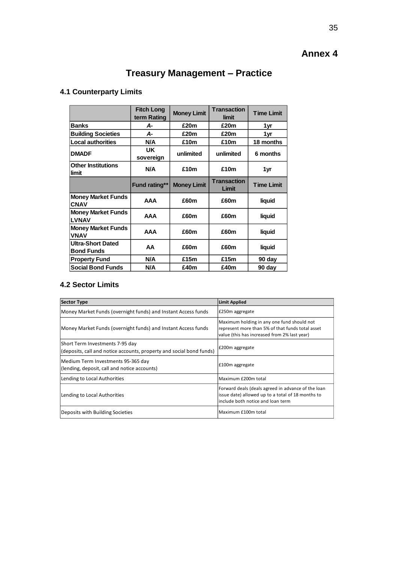# **Annex 4**

# **Treasury Management – Practice**

# **4.1 Counterparty Limits**

|                                               | <b>Fitch Long</b><br>term Rating | <b>Money Limit</b> | <b>Transaction</b><br>limit | <b>Time Limit</b> |
|-----------------------------------------------|----------------------------------|--------------------|-----------------------------|-------------------|
| <b>Banks</b>                                  | А-                               | £20m               | £20m                        | 1yr               |
| <b>Building Societies</b>                     | А-                               | £20m               | £20m                        | 1yr               |
| <b>Local authorities</b>                      | N/A                              | £10m               | £10m                        | 18 months         |
| <b>DMADF</b>                                  | UK<br>sovereign                  | unlimited          | unlimited                   | 6 months          |
| <b>Other Institutions</b><br>limit            | N/A                              | £10m               | £10m                        | 1 yr              |
|                                               | <b>Fund rating**</b>             | <b>Money Limit</b> | <b>Transaction</b><br>Limit | <b>Time Limit</b> |
| <b>Money Market Funds</b><br><b>CNAV</b>      | <b>AAA</b>                       | £60m               | £60m                        | liquid            |
| <b>Money Market Funds</b><br><b>LVNAV</b>     | AAA                              | £60m               | £60m                        | liquid            |
| <b>Money Market Funds</b><br><b>VNAV</b>      | AAA                              | £60m               | £60m                        | liquid            |
| <b>Ultra-Short Dated</b><br><b>Bond Funds</b> | AA                               | £60m               | £60m                        | liquid            |
| <b>Property Fund</b>                          | N/A                              | £15m               | £15m                        | 90 day            |
| <b>Social Bond Funds</b>                      | N/A                              | £40m               | £40m                        | 90 day            |

# **4.2 Sector Limits**

| <b>Sector Type</b>                                                                                      | Limit Applied                                                                                                                                  |
|---------------------------------------------------------------------------------------------------------|------------------------------------------------------------------------------------------------------------------------------------------------|
| Money Market Funds (overnight funds) and Instant Access funds                                           | £250m aggregate                                                                                                                                |
| Money Market Funds (overnight funds) and Instant Access funds                                           | Maximum holding in any one fund should not<br>represent more than 5% of that funds total asset<br>value (this has increased from 2% last year) |
| Short Term Investments 7-95 day<br>(deposits, call and notice accounts, property and social bond funds) | £200m aggregate                                                                                                                                |
| Medium Term Investments 95-365 day<br>(lending, deposit, call and notice accounts)                      | £100m aggregate                                                                                                                                |
| Lending to Local Authorities                                                                            | Maximum £200m total                                                                                                                            |
| Lending to Local Authorities                                                                            | Forward deals (deals agreed in advance of the loan<br>issue date) allowed up to a total of 18 months to<br>include both notice and loan term   |
| Deposits with Building Societies                                                                        | Maximum £100m total                                                                                                                            |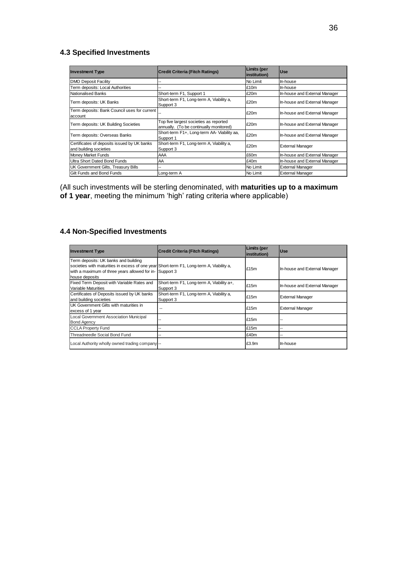# **4.3 Specified Investments**

| <b>Investment Type</b>                                                | Credit Criteria (Fitch Ratings)                                                   | Limits (per<br>institution) | <b>Use</b>                    |
|-----------------------------------------------------------------------|-----------------------------------------------------------------------------------|-----------------------------|-------------------------------|
| <b>DMO Deposit Facility</b>                                           | --                                                                                | No Limit                    | In-house                      |
| Term deposits: Local Authorities                                      | --                                                                                | £10m                        | In-house                      |
| <b>Nationalised Banks</b>                                             | Short-term F1, Support 1                                                          | £20m                        | In-house and External Manager |
| Term deposits: UK Banks                                               | Short-term F1, Long-term A, Viability a,<br>Support 3                             | £20m                        | In-house and External Manager |
| Term deposits: Bank Council uses for current<br>account               |                                                                                   | £20m                        | In-house and External Manager |
| Term deposits: UK Building Societies                                  | Top five largest societies as reported<br>annually. (To be continually monitored) | £20m                        | In-house and External Manager |
| Term deposits: Overseas Banks                                         | Short-term F1+, Long-term AA- Viability aa,<br>Support 1                          | £20m                        | In-house and External Manager |
| Certificates of deposits issued by UK banks<br>and building societies | Short-term F1, Long-term A, Viability a,<br>Support 3                             | £20m                        | <b>External Manager</b>       |
| Money Market Funds                                                    | AAA                                                                               | £60m                        | In-house and External Manager |
| Ultra Short Dated Bond Funds                                          | <b>AA</b>                                                                         | £40m                        | In-house and External Manager |
| UK Government Gilts, Treasury Bills                                   |                                                                                   | No Limit                    | <b>External Manager</b>       |
| Gilt Funds and Bond Funds                                             | Long-term A                                                                       | No Limit                    | <b>External Manager</b>       |

(All such investments will be sterling denominated, with **maturities up to a maximum of 1 year**, meeting the minimum 'high' rating criteria where applicable)

#### **4.4 Non-Specified Investments**

| <b>Investment Type</b>                                                                                                                                                                                        | <b>Credit Criteria (Fitch Ratings)</b>                 | Limits (per<br>linstitution) | <b>Use</b>                    |
|---------------------------------------------------------------------------------------------------------------------------------------------------------------------------------------------------------------|--------------------------------------------------------|------------------------------|-------------------------------|
| Term deposits: UK banks and building<br>societies with maturities in excess of one year Short-term F1, Long-term A, Viability a,<br>with a maximum of three years allowed for in- Support 3<br>house deposits |                                                        | £15m                         | In-house and External Manager |
| Fixed Term Deposit with Variable Rates and<br><b>Variable Maturities</b>                                                                                                                                      | Short-term F1, Long-term A, Viability a+,<br>Support 3 | £15m                         | In-house and External Manager |
| Certificates of Deposits issued by UK banks<br>and building societies                                                                                                                                         | Short-term F1, Long-term A, Viability a,<br>Support 3  | £15m                         | <b>External Manager</b>       |
| UK Government Gilts with maturities in<br>excess of 1 year                                                                                                                                                    | $-$                                                    | £15m                         | <b>External Manager</b>       |
| Local Government Association Municipal<br><b>Bond Agency</b>                                                                                                                                                  | $\sim$                                                 | £15m                         |                               |
| <b>CCLA Property Fund</b>                                                                                                                                                                                     | --                                                     | £15m                         |                               |
| Threadneedle Social Bond Fund                                                                                                                                                                                 | --                                                     | £40m                         |                               |
| Local Authority wholly owned trading company                                                                                                                                                                  |                                                        | £3.9m                        | In-house                      |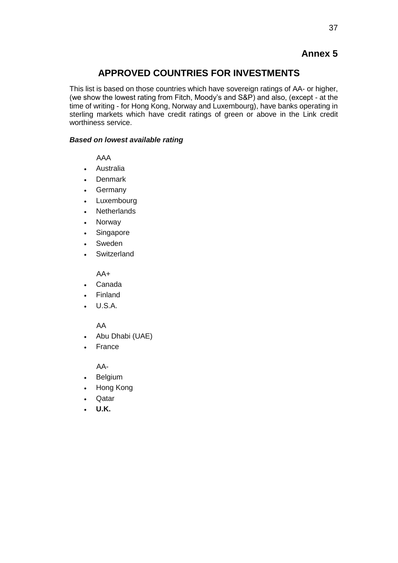# **Annex 5**

# **APPROVED COUNTRIES FOR INVESTMENTS**

This list is based on those countries which have sovereign ratings of AA- or higher, (we show the lowest rating from Fitch, Moody's and S&P) and also, (except - at the time of writing - for Hong Kong, Norway and Luxembourg), have banks operating in sterling markets which have credit ratings of green or above in the Link credit worthiness service.

#### *Based on lowest available rating*

AAA

- Australia
- Denmark
- Germany
- Luxembourg
- Netherlands
- Norway
- Singapore
- Sweden
- **Switzerland**

AA+

- Canada
- Finland
- U.S.A.

#### AA

- Abu Dhabi (UAE)
- France

AA-

- Belgium
- Hong Kong
- Qatar
- **U.K.**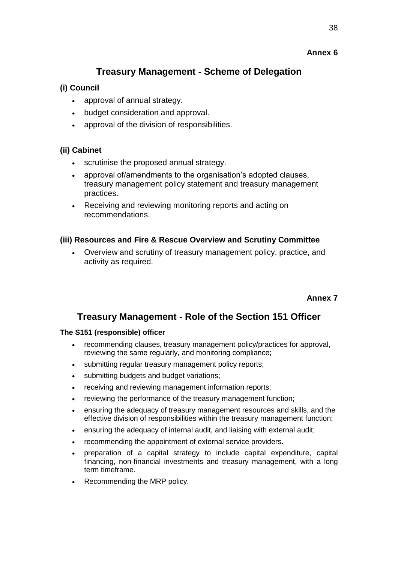# **Annex 6**

# **Treasury Management - Scheme of Delegation**

# **(i) Council**

- approval of annual strategy.
- budget consideration and approval.
- approval of the division of responsibilities.

# **(ii) Cabinet**

- scrutinise the proposed annual strategy.
- approval of/amendments to the organisation's adopted clauses, treasury management policy statement and treasury management practices.
- Receiving and reviewing monitoring reports and acting on recommendations.

# **(iii) Resources and Fire & Rescue Overview and Scrutiny Committee**

 Overview and scrutiny of treasury management policy, practice, and activity as required.

**Annex 7**

# **Treasury Management - Role of the Section 151 Officer**

#### **The S151 (responsible) officer**

- recommending clauses, treasury management policy/practices for approval, reviewing the same regularly, and monitoring compliance;
- submitting regular treasury management policy reports;
- submitting budgets and budget variations;
- receiving and reviewing management information reports;
- reviewing the performance of the treasury management function;
- ensuring the adequacy of treasury management resources and skills, and the effective division of responsibilities within the treasury management function;
- ensuring the adequacy of internal audit, and liaising with external audit;
- recommending the appointment of external service providers.
- preparation of a capital strategy to include capital expenditure, capital financing, non-financial investments and treasury management, with a long term timeframe.
- Recommending the MRP policy.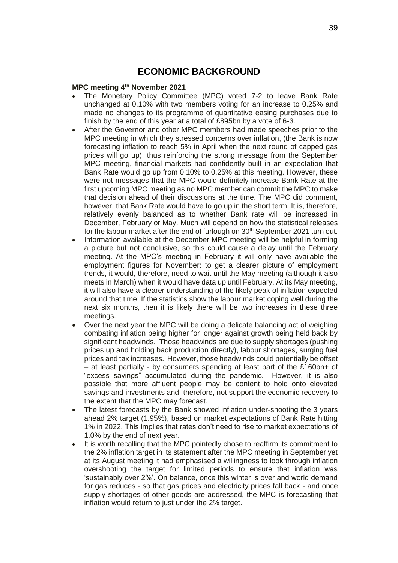# **ECONOMIC BACKGROUND**

#### **MPC meeting 4 th November 2021**

- The Monetary Policy Committee (MPC) voted 7-2 to leave Bank Rate unchanged at 0.10% with two members voting for an increase to 0.25% and made no changes to its programme of quantitative easing purchases due to finish by the end of this year at a total of £895bn by a vote of 6-3.
- After the Governor and other MPC members had made speeches prior to the MPC meeting in which they stressed concerns over inflation, (the Bank is now forecasting inflation to reach 5% in April when the next round of capped gas prices will go up), thus reinforcing the strong message from the September MPC meeting, financial markets had confidently built in an expectation that Bank Rate would go up from 0.10% to 0.25% at this meeting. However, these were not messages that the MPC would definitely increase Bank Rate at the first upcoming MPC meeting as no MPC member can commit the MPC to make that decision ahead of their discussions at the time. The MPC did comment, however, that Bank Rate would have to go up in the short term. It is, therefore, relatively evenly balanced as to whether Bank rate will be increased in December, February or May. Much will depend on how the statistical releases for the labour market after the end of furlough on 30<sup>th</sup> September 2021 turn out.
- Information available at the December MPC meeting will be helpful in forming a picture but not conclusive, so this could cause a delay until the February meeting. At the MPC's meeting in February it will only have available the employment figures for November: to get a clearer picture of employment trends, it would, therefore, need to wait until the May meeting (although it also meets in March) when it would have data up until February. At its May meeting, it will also have a clearer understanding of the likely peak of inflation expected around that time. If the statistics show the labour market coping well during the next six months, then it is likely there will be two increases in these three meetings.
- Over the next year the MPC will be doing a delicate balancing act of weighing combating inflation being higher for longer against growth being held back by significant headwinds. Those headwinds are due to supply shortages (pushing prices up and holding back production directly), labour shortages, surging fuel prices and tax increases. However, those headwinds could potentially be offset – at least partially - by consumers spending at least part of the £160bn+ of "excess savings" accumulated during the pandemic. However, it is also possible that more affluent people may be content to hold onto elevated savings and investments and, therefore, not support the economic recovery to the extent that the MPC may forecast.
- The latest forecasts by the Bank showed inflation under-shooting the 3 years ahead 2% target (1.95%), based on market expectations of Bank Rate hitting 1% in 2022. This implies that rates don't need to rise to market expectations of 1.0% by the end of next year.
- It is worth recalling that the MPC pointedly chose to reaffirm its commitment to the 2% inflation target in its statement after the MPC meeting in September yet at its August meeting it had emphasised a willingness to look through inflation overshooting the target for limited periods to ensure that inflation was 'sustainably over 2%'. On balance, once this winter is over and world demand for gas reduces - so that gas prices and electricity prices fall back - and once supply shortages of other goods are addressed, the MPC is forecasting that inflation would return to just under the 2% target.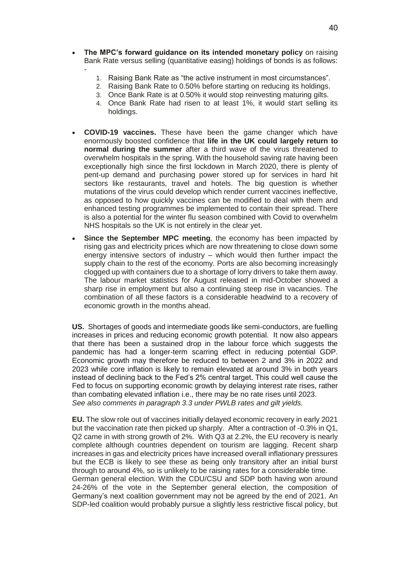**The MPC's forward guidance on its intended monetary policy** on raising Bank Rate versus selling (quantitative easing) holdings of bonds is as follows:

-

- 1. Raising Bank Rate as "the active instrument in most circumstances".
- 2. Raising Bank Rate to 0.50% before starting on reducing its holdings.
- 3. Once Bank Rate is at 0.50% it would stop reinvesting maturing gilts.
- 4. Once Bank Rate had risen to at least 1%, it would start selling its holdings.
- **COVID-19 vaccines.** These have been the game changer which have enormously boosted confidence that **life in the UK could largely return to normal during the summer** after a third wave of the virus threatened to overwhelm hospitals in the spring. With the household saving rate having been exceptionally high since the first lockdown in March 2020, there is plenty of pent-up demand and purchasing power stored up for services in hard hit sectors like restaurants, travel and hotels. The big question is whether mutations of the virus could develop which render current vaccines ineffective, as opposed to how quickly vaccines can be modified to deal with them and enhanced testing programmes be implemented to contain their spread. There is also a potential for the winter flu season combined with Covid to overwhelm NHS hospitals so the UK is not entirely in the clear yet.
- **Since the September MPC meeting**, the economy has been impacted by rising gas and electricity prices which are now threatening to close down some energy intensive sectors of industry – which would then further impact the supply chain to the rest of the economy. Ports are also becoming increasingly clogged up with containers due to a shortage of lorry drivers to take them away. The labour market statistics for August released in mid-October showed a sharp rise in employment but also a continuing steep rise in vacancies. The combination of all these factors is a considerable headwind to a recovery of economic growth in the months ahead.

**US.** Shortages of goods and intermediate goods like semi-conductors, are fuelling increases in prices and reducing economic growth potential. It now also appears that there has been a sustained drop in the labour force which suggests the pandemic has had a longer-term scarring effect in reducing potential GDP. Economic growth may therefore be reduced to between 2 and 3% in 2022 and 2023 while core inflation is likely to remain elevated at around 3% in both years instead of declining back to the Fed's 2% central target. This could well cause the Fed to focus on supporting economic growth by delaying interest rate rises, rather than combating elevated inflation i.e., there may be no rate rises until 2023. *See also comments in paragraph 3.3 under PWLB rates and gilt yields.*

**EU.** The slow role out of vaccines initially delayed economic recovery in early 2021 but the vaccination rate then picked up sharply. After a contraction of -0.3% in Q1, Q2 came in with strong growth of 2%. With Q3 at 2.2%, the EU recovery is nearly complete although countries dependent on tourism are lagging. Recent sharp increases in gas and electricity prices have increased overall inflationary pressures but the ECB is likely to see these as being only transitory after an initial burst through to around 4%, so is unlikely to be raising rates for a considerable time. German general election. With the CDU/CSU and SDP both having won around 24-26% of the vote in the September general election, the composition of Germany's next coalition government may not be agreed by the end of 2021. An SDP-led coalition would probably pursue a slightly less restrictive fiscal policy, but